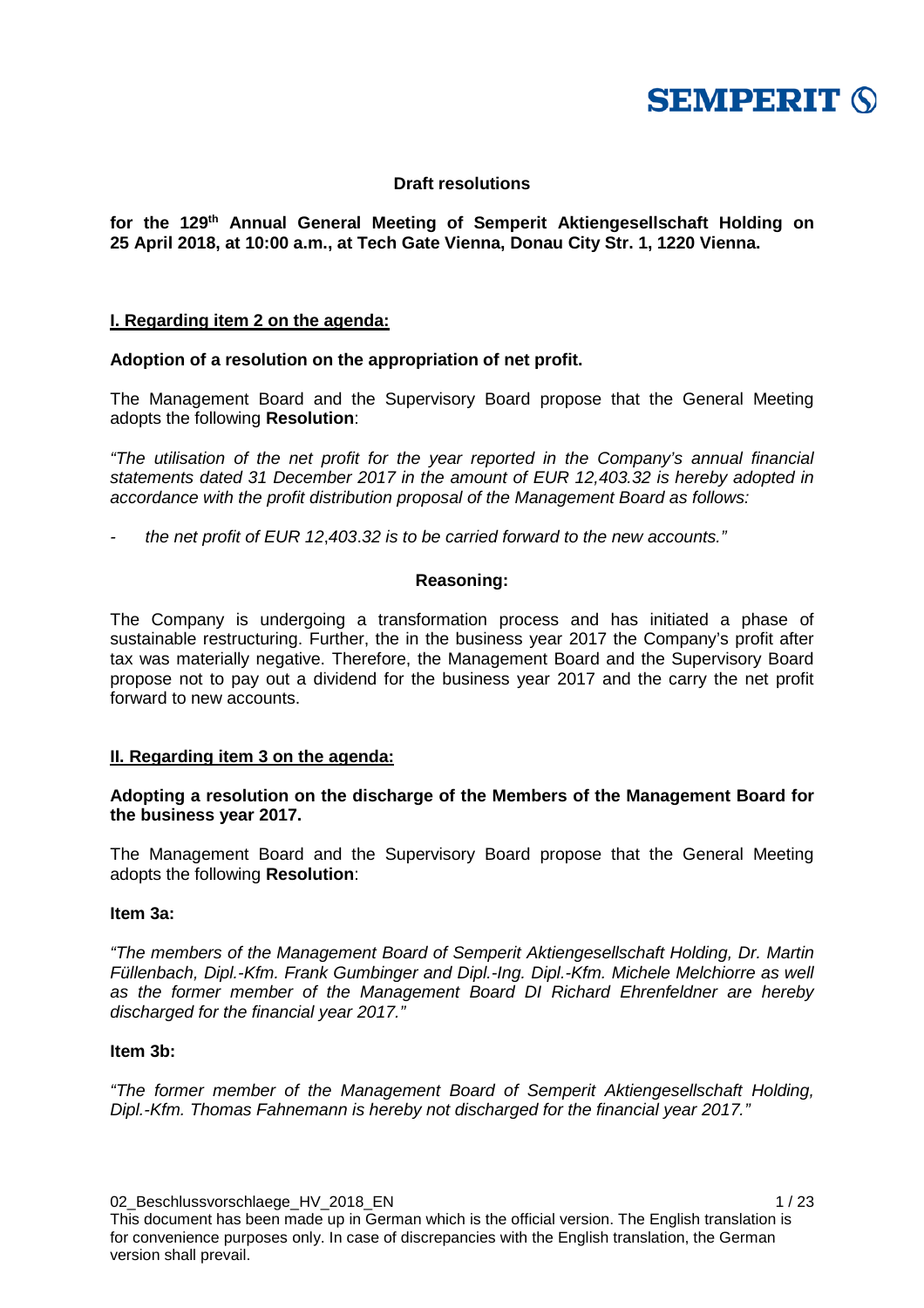

# **Draft resolutions**

# **for the 129th Annual General Meeting of Semperit Aktiengesellschaft Holding on 25 April 2018, at 10:00 a.m., at Tech Gate Vienna, Donau City Str. 1, 1220 Vienna.**

### **I. Regarding item 2 on the agenda:**

## **Adoption of a resolution on the appropriation of net profit.**

The Management Board and the Supervisory Board propose that the General Meeting adopts the following **Resolution**:

*"The utilisation of the net profit for the year reported in the Company's annual financial statements dated 31 December 2017 in the amount of EUR 12,403.32 is hereby adopted in accordance with the profit distribution proposal of the Management Board as follows:*

*- the net profit of EUR 12*,*403*.*32 is to be carried forward to the new accounts."*

### **Reasoning:**

The Company is undergoing a transformation process and has initiated a phase of sustainable restructuring. Further, the in the business year 2017 the Company's profit after tax was materially negative. Therefore, the Management Board and the Supervisory Board propose not to pay out a dividend for the business year 2017 and the carry the net profit forward to new accounts.

### **II. Regarding item 3 on the agenda:**

## **Adopting a resolution on the discharge of the Members of the Management Board for the business year 2017.**

The Management Board and the Supervisory Board propose that the General Meeting adopts the following **Resolution**:

# **Item 3a:**

*"The members of the Management Board of Semperit Aktiengesellschaft Holding, Dr. Martin Füllenbach, Dipl.-Kfm. Frank Gumbinger and Dipl.-Ing. Dipl.-Kfm. Michele Melchiorre as well as the former member of the Management Board DI Richard Ehrenfeldner are hereby discharged for the financial year 2017."*

### **Item 3b:**

*"The former member of the Management Board of Semperit Aktiengesellschaft Holding, Dipl.-Kfm. Thomas Fahnemann is hereby not discharged for the financial year 2017."*

02 Beschlussvorschlaege HV 2018 EN 1/23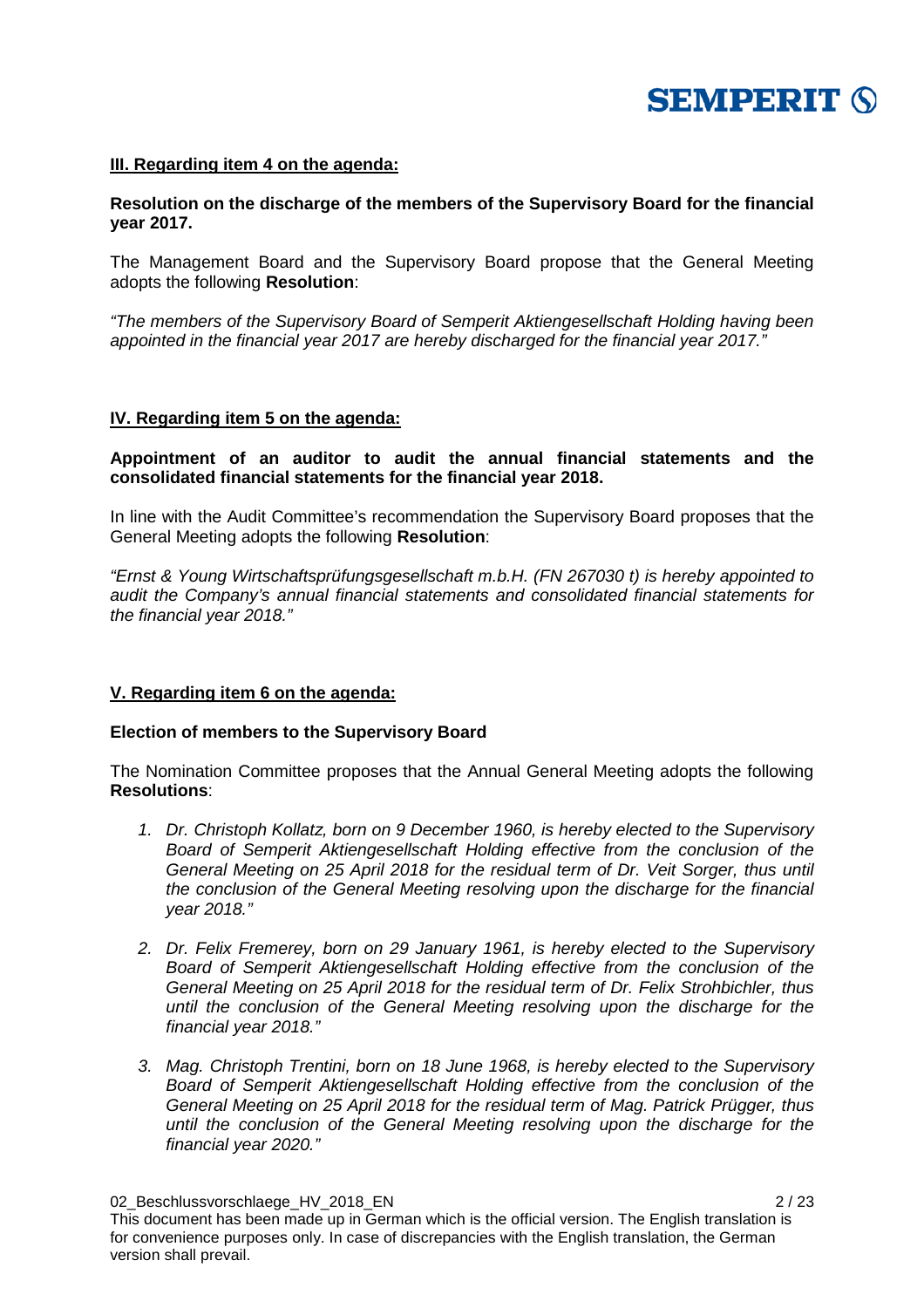

## **III. Regarding item 4 on the agenda:**

**Resolution on the discharge of the members of the Supervisory Board for the financial year 2017.**

The Management Board and the Supervisory Board propose that the General Meeting adopts the following **Resolution**:

*"The members of the Supervisory Board of Semperit Aktiengesellschaft Holding having been appointed in the financial year 2017 are hereby discharged for the financial year 2017."*

## **IV. Regarding item 5 on the agenda:**

**Appointment of an auditor to audit the annual financial statements and the consolidated financial statements for the financial year 2018.**

In line with the Audit Committee's recommendation the Supervisory Board proposes that the General Meeting adopts the following **Resolution**:

*"Ernst & Young Wirtschaftsprüfungsgesellschaft m.b.H. (FN 267030 t) is hereby appointed to audit the Company's annual financial statements and consolidated financial statements for the financial year 2018."*

### **V. Regarding item 6 on the agenda:**

### **Election of members to the Supervisory Board**

The Nomination Committee proposes that the Annual General Meeting adopts the following **Resolutions**:

- *1. Dr. Christoph Kollatz, born on 9 December 1960, is hereby elected to the Supervisory Board of Semperit Aktiengesellschaft Holding effective from the conclusion of the General Meeting on 25 April 2018 for the residual term of Dr. Veit Sorger, thus until the conclusion of the General Meeting resolving upon the discharge for the financial year 2018."*
- *2. Dr. Felix Fremerey, born on 29 January 1961, is hereby elected to the Supervisory Board of Semperit Aktiengesellschaft Holding effective from the conclusion of the General Meeting on 25 April 2018 for the residual term of Dr. Felix Strohbichler, thus until the conclusion of the General Meeting resolving upon the discharge for the financial year 2018."*
- *3. Mag. Christoph Trentini, born on 18 June 1968, is hereby elected to the Supervisory Board of Semperit Aktiengesellschaft Holding effective from the conclusion of the General Meeting on 25 April 2018 for the residual term of Mag. Patrick Prügger, thus until the conclusion of the General Meeting resolving upon the discharge for the financial year 2020."*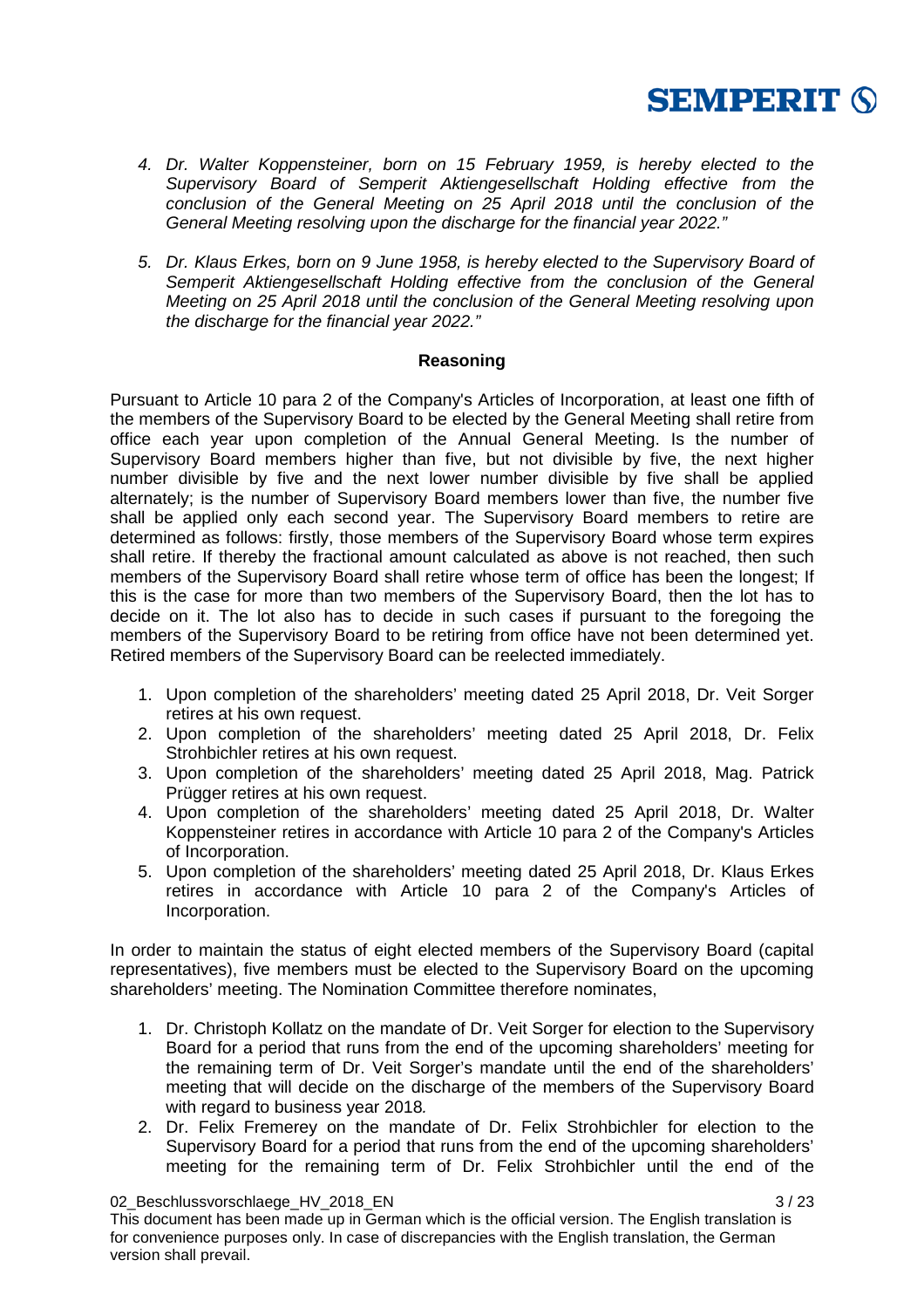

- *4. Dr. Walter Koppensteiner, born on 15 February 1959, is hereby elected to the Supervisory Board of Semperit Aktiengesellschaft Holding effective from the conclusion of the General Meeting on 25 April 2018 until the conclusion of the General Meeting resolving upon the discharge for the financial year 2022."*
- *5. Dr. Klaus Erkes, born on 9 June 1958, is hereby elected to the Supervisory Board of Semperit Aktiengesellschaft Holding effective from the conclusion of the General Meeting on 25 April 2018 until the conclusion of the General Meeting resolving upon the discharge for the financial year 2022."*

### **Reasoning**

Pursuant to Article 10 para 2 of the Company's Articles of Incorporation, at least one fifth of the members of the Supervisory Board to be elected by the General Meeting shall retire from office each year upon completion of the Annual General Meeting. Is the number of Supervisory Board members higher than five, but not divisible by five, the next higher number divisible by five and the next lower number divisible by five shall be applied alternately; is the number of Supervisory Board members lower than five, the number five shall be applied only each second year. The Supervisory Board members to retire are determined as follows: firstly, those members of the Supervisory Board whose term expires shall retire. If thereby the fractional amount calculated as above is not reached, then such members of the Supervisory Board shall retire whose term of office has been the longest; If this is the case for more than two members of the Supervisory Board, then the lot has to decide on it. The lot also has to decide in such cases if pursuant to the foregoing the members of the Supervisory Board to be retiring from office have not been determined yet. Retired members of the Supervisory Board can be reelected immediately.

- 1. Upon completion of the shareholders' meeting dated 25 April 2018, Dr. Veit Sorger retires at his own request.
- 2. Upon completion of the shareholders' meeting dated 25 April 2018, Dr. Felix Strohbichler retires at his own request.
- 3. Upon completion of the shareholders' meeting dated 25 April 2018, Mag. Patrick Prügger retires at his own request.
- 4. Upon completion of the shareholders' meeting dated 25 April 2018, Dr. Walter Koppensteiner retires in accordance with Article 10 para 2 of the Company's Articles of Incorporation.
- 5. Upon completion of the shareholders' meeting dated 25 April 2018, Dr. Klaus Erkes retires in accordance with Article 10 para 2 of the Company's Articles of Incorporation.

In order to maintain the status of eight elected members of the Supervisory Board (capital representatives), five members must be elected to the Supervisory Board on the upcoming shareholders' meeting. The Nomination Committee therefore nominates,

- 1. Dr. Christoph Kollatz on the mandate of Dr. Veit Sorger for election to the Supervisory Board for a period that runs from the end of the upcoming shareholders' meeting for the remaining term of Dr. Veit Sorger's mandate until the end of the shareholders' meeting that will decide on the discharge of the members of the Supervisory Board with regard to business year 2018*.*
- 2. Dr. Felix Fremerey on the mandate of Dr. Felix Strohbichler for election to the Supervisory Board for a period that runs from the end of the upcoming shareholders' meeting for the remaining term of Dr. Felix Strohbichler until the end of the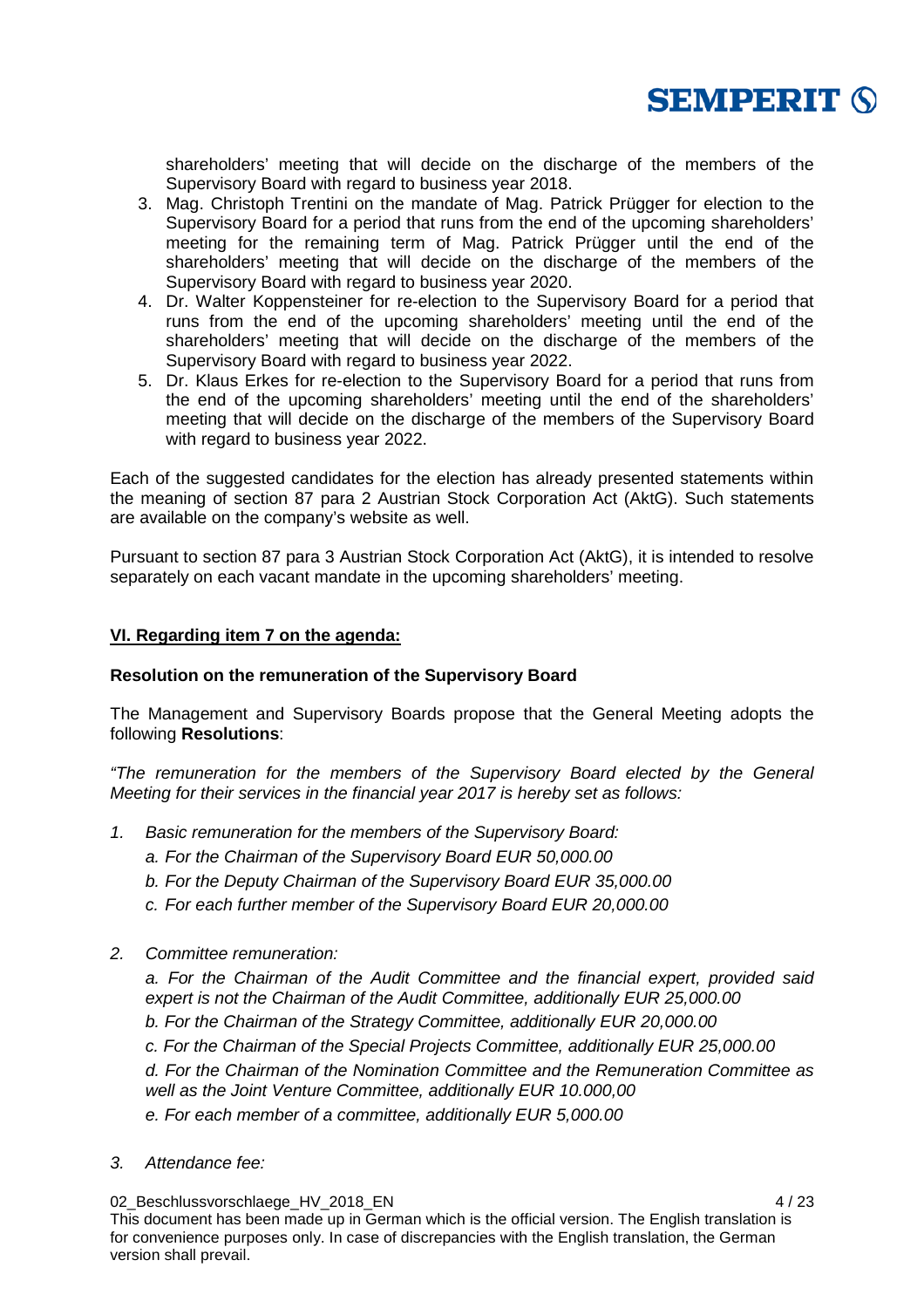

shareholders' meeting that will decide on the discharge of the members of the Supervisory Board with regard to business year 2018.

- 3. Mag. Christoph Trentini on the mandate of Mag. Patrick Prügger for election to the Supervisory Board for a period that runs from the end of the upcoming shareholders' meeting for the remaining term of Mag. Patrick Prügger until the end of the shareholders' meeting that will decide on the discharge of the members of the Supervisory Board with regard to business year 2020.
- 4. Dr. Walter Koppensteiner for re-election to the Supervisory Board for a period that runs from the end of the upcoming shareholders' meeting until the end of the shareholders' meeting that will decide on the discharge of the members of the Supervisory Board with regard to business year 2022.
- 5. Dr. Klaus Erkes for re-election to the Supervisory Board for a period that runs from the end of the upcoming shareholders' meeting until the end of the shareholders' meeting that will decide on the discharge of the members of the Supervisory Board with regard to business year 2022.

Each of the suggested candidates for the election has already presented statements within the meaning of section 87 para 2 Austrian Stock Corporation Act (AktG). Such statements are available on the company's website as well.

Pursuant to section 87 para 3 Austrian Stock Corporation Act (AktG), it is intended to resolve separately on each vacant mandate in the upcoming shareholders' meeting.

## **VI. Regarding item 7 on the agenda:**

### **Resolution on the remuneration of the Supervisory Board**

The Management and Supervisory Boards propose that the General Meeting adopts the following **Resolutions**:

*"The remuneration for the members of the Supervisory Board elected by the General Meeting for their services in the financial year 2017 is hereby set as follows:*

- *1. Basic remuneration for the members of the Supervisory Board:*
	- *a. For the Chairman of the Supervisory Board EUR 50,000.00*
	- *b. For the Deputy Chairman of the Supervisory Board EUR 35,000.00*
	- *c. For each further member of the Supervisory Board EUR 20,000.00*
- *2. Committee remuneration:*

*a. For the Chairman of the Audit Committee and the financial expert, provided said expert is not the Chairman of the Audit Committee, additionally EUR 25,000.00*

- *b. For the Chairman of the Strategy Committee, additionally EUR 20,000.00*
- *c. For the Chairman of the Special Projects Committee, additionally EUR 25,000.00*

*d. For the Chairman of the Nomination Committee and the Remuneration Committee as well as the Joint Venture Committee, additionally EUR 10.000,00*

*e. For each member of a committee, additionally EUR 5,000.00*

*3. Attendance fee:*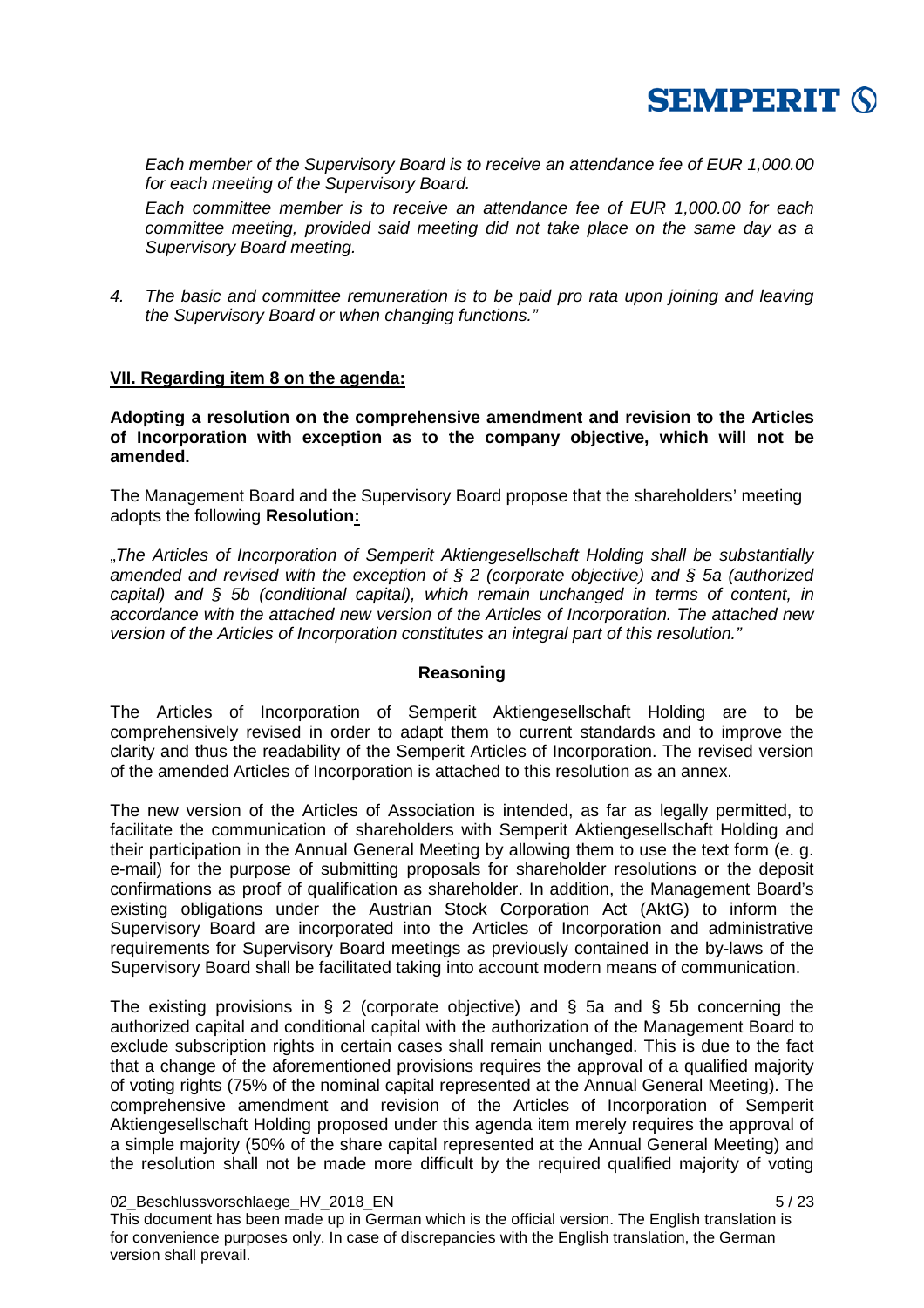

*Each member of the Supervisory Board is to receive an attendance fee of EUR 1,000.00 for each meeting of the Supervisory Board.*

*Each committee member is to receive an attendance fee of EUR 1,000.00 for each committee meeting, provided said meeting did not take place on the same day as a Supervisory Board meeting.*

*4. The basic and committee remuneration is to be paid pro rata upon joining and leaving the Supervisory Board or when changing functions."*

### **VII. Regarding item 8 on the agenda:**

**Adopting a resolution on the comprehensive amendment and revision to the Articles of Incorporation with exception as to the company objective, which will not be amended.**

The Management Board and the Supervisory Board propose that the shareholders' meeting adopts the following **Resolution:**

"*The Articles of Incorporation of Semperit Aktiengesellschaft Holding shall be substantially amended and revised with the exception of § 2 (corporate objective) and § 5a (authorized capital) and § 5b (conditional capital), which remain unchanged in terms of content, in accordance with the attached new version of the Articles of Incorporation. The attached new version of the Articles of Incorporation constitutes an integral part of this resolution."*

### **Reasoning**

The Articles of Incorporation of Semperit Aktiengesellschaft Holding are to be comprehensively revised in order to adapt them to current standards and to improve the clarity and thus the readability of the Semperit Articles of Incorporation. The revised version of the amended Articles of Incorporation is attached to this resolution as an annex.

The new version of the Articles of Association is intended, as far as legally permitted, to facilitate the communication of shareholders with Semperit Aktiengesellschaft Holding and their participation in the Annual General Meeting by allowing them to use the text form (e. g. e-mail) for the purpose of submitting proposals for shareholder resolutions or the deposit confirmations as proof of qualification as shareholder. In addition, the Management Board's existing obligations under the Austrian Stock Corporation Act (AktG) to inform the Supervisory Board are incorporated into the Articles of Incorporation and administrative requirements for Supervisory Board meetings as previously contained in the by-laws of the Supervisory Board shall be facilitated taking into account modern means of communication.

The existing provisions in § 2 (corporate objective) and § 5a and § 5b concerning the authorized capital and conditional capital with the authorization of the Management Board to exclude subscription rights in certain cases shall remain unchanged. This is due to the fact that a change of the aforementioned provisions requires the approval of a qualified majority of voting rights (75% of the nominal capital represented at the Annual General Meeting). The comprehensive amendment and revision of the Articles of Incorporation of Semperit Aktiengesellschaft Holding proposed under this agenda item merely requires the approval of a simple majority (50% of the share capital represented at the Annual General Meeting) and the resolution shall not be made more difficult by the required qualified majority of voting

#### 02 Beschlussvorschlaege HV 2018 EN 5/23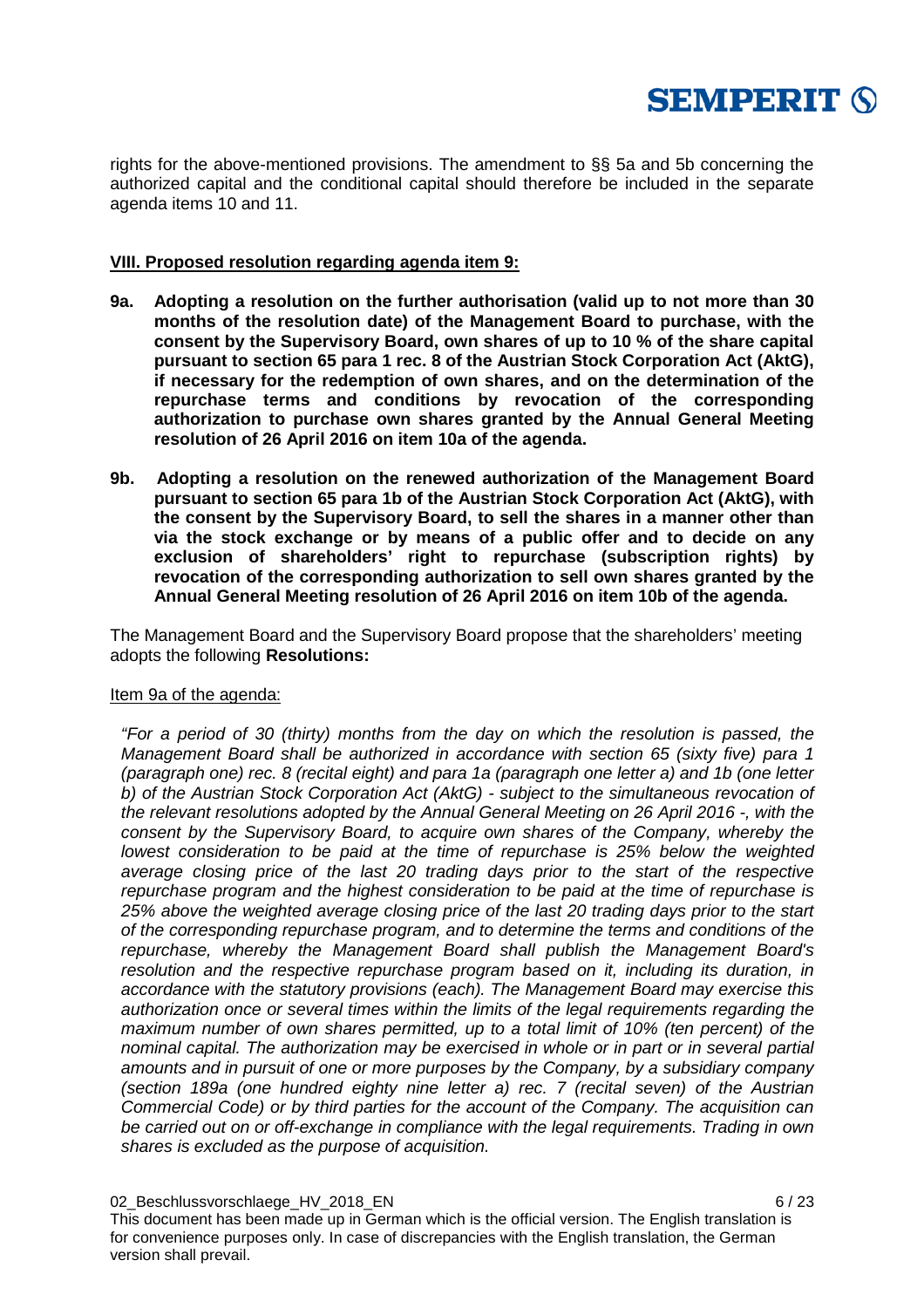

rights for the above-mentioned provisions. The amendment to §§ 5a and 5b concerning the authorized capital and the conditional capital should therefore be included in the separate agenda items 10 and 11.

### **VIII. Proposed resolution regarding agenda item 9:**

- **9a. Adopting a resolution on the further authorisation (valid up to not more than 30 months of the resolution date) of the Management Board to purchase, with the consent by the Supervisory Board, own shares of up to 10 % of the share capital pursuant to section 65 para 1 rec. 8 of the Austrian Stock Corporation Act (AktG), if necessary for the redemption of own shares, and on the determination of the repurchase terms and conditions by revocation of the corresponding authorization to purchase own shares granted by the Annual General Meeting resolution of 26 April 2016 on item 10a of the agenda.**
- **9b. Adopting a resolution on the renewed authorization of the Management Board pursuant to section 65 para 1b of the Austrian Stock Corporation Act (AktG), with the consent by the Supervisory Board, to sell the shares in a manner other than via the stock exchange or by means of a public offer and to decide on any exclusion of shareholders' right to repurchase (subscription rights) by revocation of the corresponding authorization to sell own shares granted by the Annual General Meeting resolution of 26 April 2016 on item 10b of the agenda.**

The Management Board and the Supervisory Board propose that the shareholders' meeting adopts the following **Resolutions:**

#### Item 9a of the agenda:

*"For a period of 30 (thirty) months from the day on which the resolution is passed, the Management Board shall be authorized in accordance with section 65 (sixty five) para 1 (paragraph one) rec. 8 (recital eight) and para 1a (paragraph one letter a) and 1b (one letter b) of the Austrian Stock Corporation Act (AktG) - subject to the simultaneous revocation of the relevant resolutions adopted by the Annual General Meeting on 26 April 2016 -, with the consent by the Supervisory Board, to acquire own shares of the Company, whereby the lowest consideration to be paid at the time of repurchase is 25% below the weighted average closing price of the last 20 trading days prior to the start of the respective repurchase program and the highest consideration to be paid at the time of repurchase is 25% above the weighted average closing price of the last 20 trading days prior to the start of the corresponding repurchase program, and to determine the terms and conditions of the repurchase, whereby the Management Board shall publish the Management Board's resolution and the respective repurchase program based on it, including its duration, in accordance with the statutory provisions (each). The Management Board may exercise this authorization once or several times within the limits of the legal requirements regarding the maximum number of own shares permitted, up to a total limit of 10% (ten percent) of the nominal capital. The authorization may be exercised in whole or in part or in several partial amounts and in pursuit of one or more purposes by the Company, by a subsidiary company (section 189a (one hundred eighty nine letter a) rec. 7 (recital seven) of the Austrian Commercial Code) or by third parties for the account of the Company. The acquisition can be carried out on or off-exchange in compliance with the legal requirements. Trading in own shares is excluded as the purpose of acquisition.*

02 Beschlussvorschlaege HV 2018 EN 6/23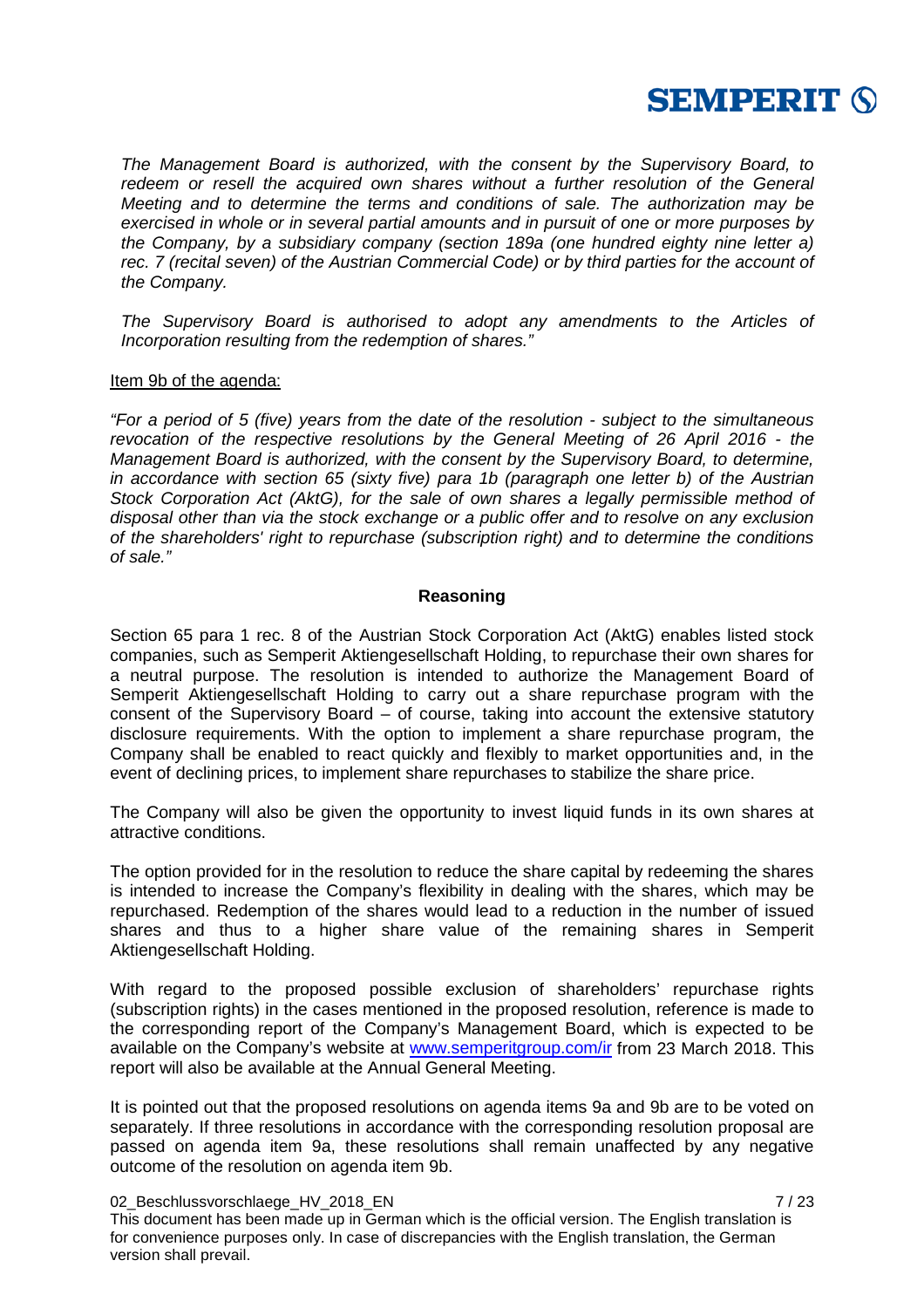

*The Management Board is authorized, with the consent by the Supervisory Board, to*  redeem or resell the acquired own shares without a further resolution of the General *Meeting and to determine the terms and conditions of sale. The authorization may be exercised in whole or in several partial amounts and in pursuit of one or more purposes by the Company, by a subsidiary company (section 189a (one hundred eighty nine letter a)*  rec. 7 (recital seven) of the Austrian Commercial Code) or by third parties for the account of *the Company.*

*The Supervisory Board is authorised to adopt any amendments to the Articles of Incorporation resulting from the redemption of shares."*

#### Item 9b of the agenda:

*"For a period of 5 (five) years from the date of the resolution - subject to the simultaneous revocation of the respective resolutions by the General Meeting of 26 April 2016 - the Management Board is authorized, with the consent by the Supervisory Board, to determine, in accordance with section 65 (sixty five) para 1b (paragraph one letter b) of the Austrian Stock Corporation Act (AktG), for the sale of own shares a legally permissible method of disposal other than via the stock exchange or a public offer and to resolve on any exclusion of the shareholders' right to repurchase (subscription right) and to determine the conditions of sale."*

### **Reasoning**

Section 65 para 1 rec. 8 of the Austrian Stock Corporation Act (AktG) enables listed stock companies, such as Semperit Aktiengesellschaft Holding, to repurchase their own shares for a neutral purpose. The resolution is intended to authorize the Management Board of Semperit Aktiengesellschaft Holding to carry out a share repurchase program with the consent of the Supervisory Board – of course, taking into account the extensive statutory disclosure requirements. With the option to implement a share repurchase program, the Company shall be enabled to react quickly and flexibly to market opportunities and, in the event of declining prices, to implement share repurchases to stabilize the share price.

The Company will also be given the opportunity to invest liquid funds in its own shares at attractive conditions.

The option provided for in the resolution to reduce the share capital by redeeming the shares is intended to increase the Company's flexibility in dealing with the shares, which may be repurchased. Redemption of the shares would lead to a reduction in the number of issued shares and thus to a higher share value of the remaining shares in Semperit Aktiengesellschaft Holding.

With regard to the proposed possible exclusion of shareholders' repurchase rights (subscription rights) in the cases mentioned in the proposed resolution, reference is made to the corresponding report of the Company's Management Board, which is expected to be available on the Company's website at [www.semperitgroup.com/ir](http://www.semperitgroup.com/ir) from 23 March 2018. This report will also be available at the Annual General Meeting.

It is pointed out that the proposed resolutions on agenda items 9a and 9b are to be voted on separately. If three resolutions in accordance with the corresponding resolution proposal are passed on agenda item 9a, these resolutions shall remain unaffected by any negative outcome of the resolution on agenda item 9b.

#### 02 Beschlussvorschlaege HV 2018 EN 7/23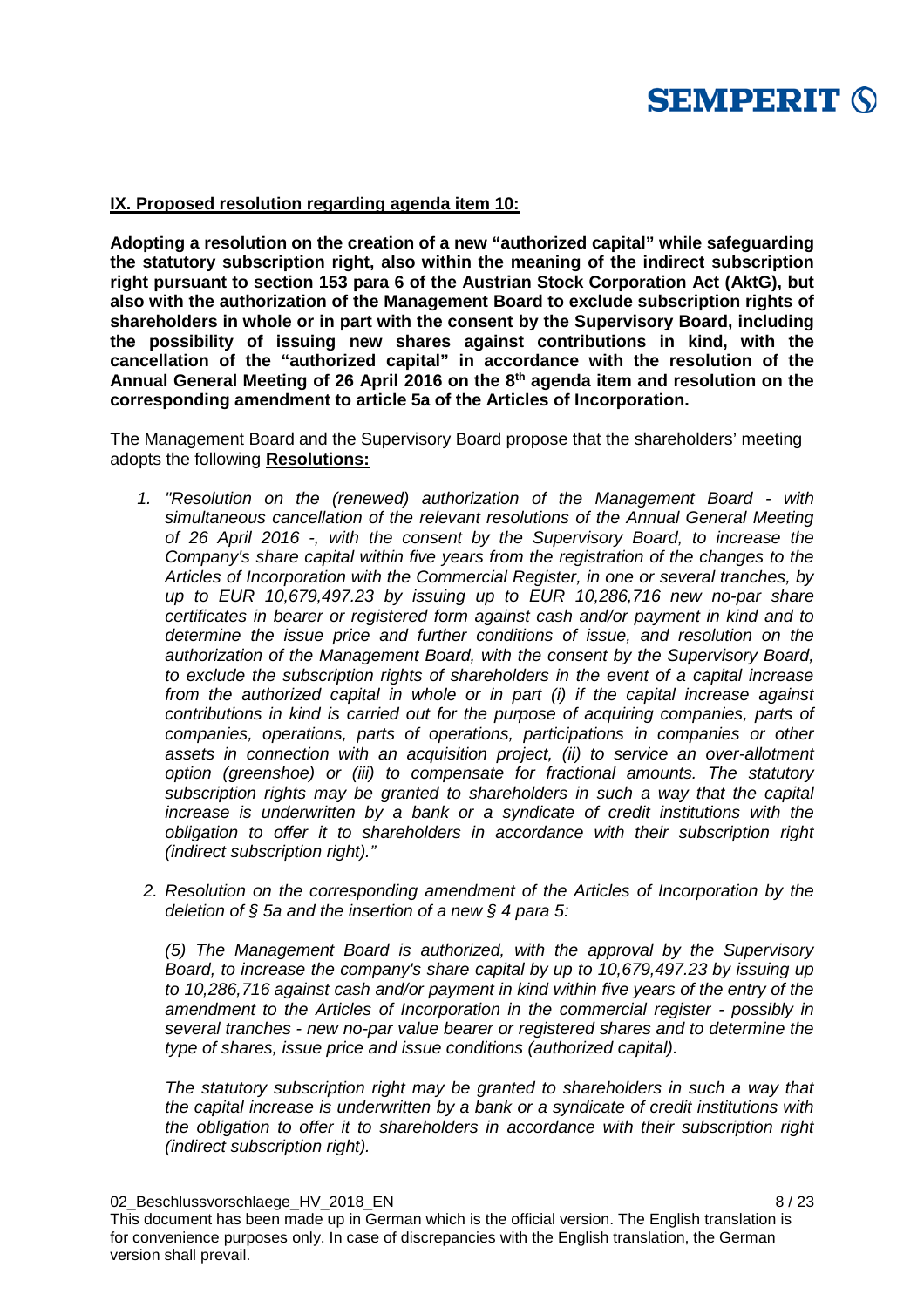

### **IX. Proposed resolution regarding agenda item 10:**

**Adopting a resolution on the creation of a new "authorized capital" while safeguarding the statutory subscription right, also within the meaning of the indirect subscription right pursuant to section 153 para 6 of the Austrian Stock Corporation Act (AktG), but also with the authorization of the Management Board to exclude subscription rights of shareholders in whole or in part with the consent by the Supervisory Board, including the possibility of issuing new shares against contributions in kind, with the cancellation of the "authorized capital" in accordance with the resolution of the Annual General Meeting of 26 April 2016 on the 8th agenda item and resolution on the corresponding amendment to article 5a of the Articles of Incorporation.**

The Management Board and the Supervisory Board propose that the shareholders' meeting adopts the following **Resolutions:**

- *1. "Resolution on the (renewed) authorization of the Management Board - with simultaneous cancellation of the relevant resolutions of the Annual General Meeting of 26 April 2016 -, with the consent by the Supervisory Board, to increase the Company's share capital within five years from the registration of the changes to the Articles of Incorporation with the Commercial Register, in one or several tranches, by up to EUR 10,679,497.23 by issuing up to EUR 10,286,716 new no-par share certificates in bearer or registered form against cash and/or payment in kind and to determine the issue price and further conditions of issue, and resolution on the authorization of the Management Board, with the consent by the Supervisory Board, to exclude the subscription rights of shareholders in the event of a capital increase from the authorized capital in whole or in part (i) if the capital increase against contributions in kind is carried out for the purpose of acquiring companies, parts of companies, operations, parts of operations, participations in companies or other assets in connection with an acquisition project, (ii) to service an over-allotment option (greenshoe) or (iii) to compensate for fractional amounts. The statutory subscription rights may be granted to shareholders in such a way that the capital increase is underwritten by a bank or a syndicate of credit institutions with the obligation to offer it to shareholders in accordance with their subscription right (indirect subscription right)."*
- *2. Resolution on the corresponding amendment of the Articles of Incorporation by the deletion of § 5a and the insertion of a new § 4 para 5:*

*(5) The Management Board is authorized, with the approval by the Supervisory Board, to increase the company's share capital by up to 10,679,497.23 by issuing up to 10,286,716 against cash and/or payment in kind within five years of the entry of the amendment to the Articles of Incorporation in the commercial register - possibly in several tranches - new no-par value bearer or registered shares and to determine the type of shares, issue price and issue conditions (authorized capital).*

*The statutory subscription right may be granted to shareholders in such a way that the capital increase is underwritten by a bank or a syndicate of credit institutions with the obligation to offer it to shareholders in accordance with their subscription right (indirect subscription right).*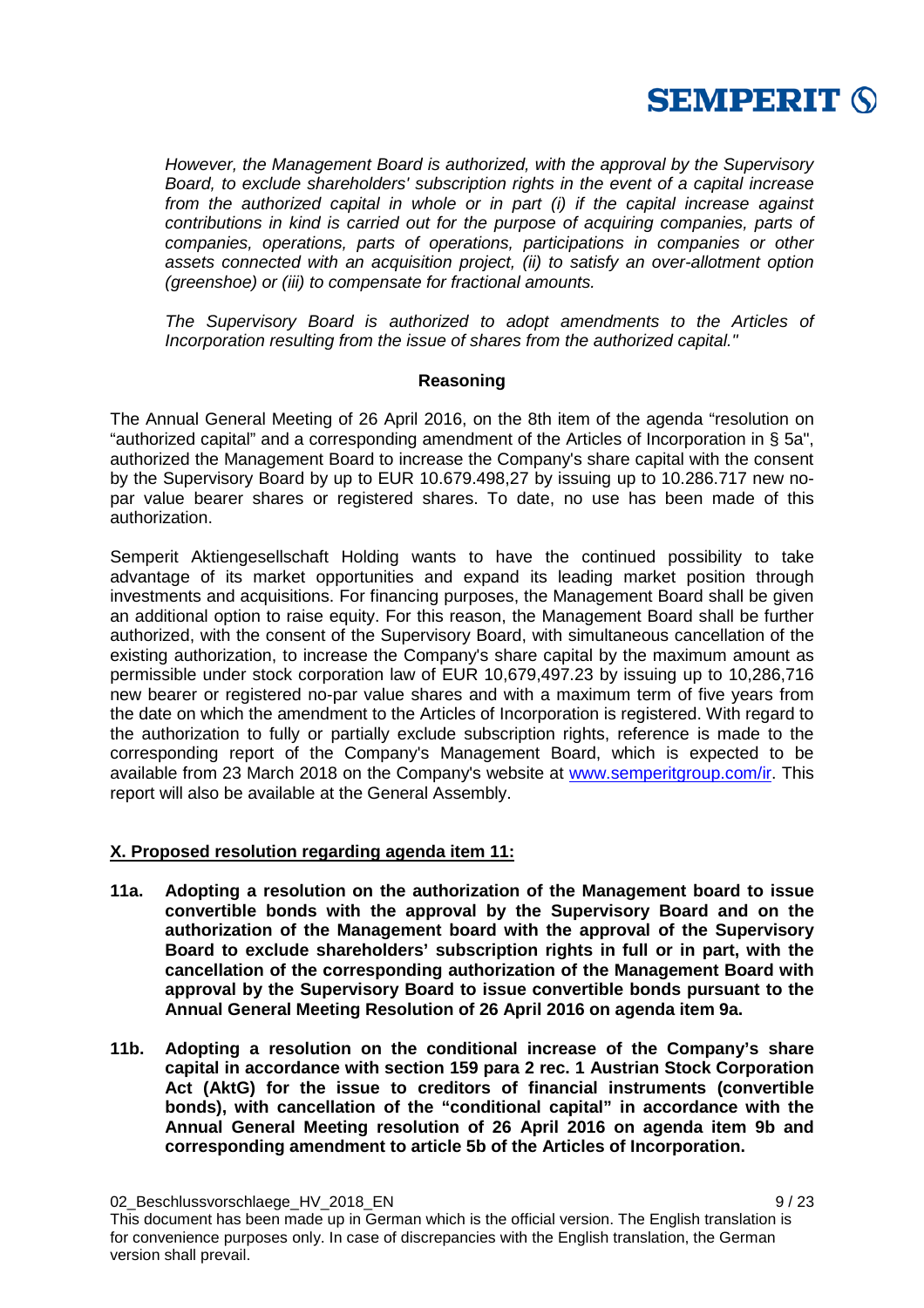

*However, the Management Board is authorized, with the approval by the Supervisory Board, to exclude shareholders' subscription rights in the event of a capital increase from the authorized capital in whole or in part (i) if the capital increase against contributions in kind is carried out for the purpose of acquiring companies, parts of companies, operations, parts of operations, participations in companies or other assets connected with an acquisition project, (ii) to satisfy an over-allotment option (greenshoe) or (iii) to compensate for fractional amounts.*

*The Supervisory Board is authorized to adopt amendments to the Articles of Incorporation resulting from the issue of shares from the authorized capital."*

### **Reasoning**

The Annual General Meeting of 26 April 2016, on the 8th item of the agenda "resolution on "authorized capital" and a corresponding amendment of the Articles of Incorporation in § 5a", authorized the Management Board to increase the Company's share capital with the consent by the Supervisory Board by up to EUR 10.679.498,27 by issuing up to 10.286.717 new nopar value bearer shares or registered shares. To date, no use has been made of this authorization.

Semperit Aktiengesellschaft Holding wants to have the continued possibility to take advantage of its market opportunities and expand its leading market position through investments and acquisitions. For financing purposes, the Management Board shall be given an additional option to raise equity. For this reason, the Management Board shall be further authorized, with the consent of the Supervisory Board, with simultaneous cancellation of the existing authorization, to increase the Company's share capital by the maximum amount as permissible under stock corporation law of EUR 10,679,497.23 by issuing up to 10,286,716 new bearer or registered no-par value shares and with a maximum term of five years from the date on which the amendment to the Articles of Incorporation is registered. With regard to the authorization to fully or partially exclude subscription rights, reference is made to the corresponding report of the Company's Management Board, which is expected to be available from 23 March 2018 on the Company's website at [www.semperitgroup.com/ir.](http://www.semperitgroup.com/ir) This report will also be available at the General Assembly.

### **X. Proposed resolution regarding agenda item 11:**

- **11a. Adopting a resolution on the authorization of the Management board to issue convertible bonds with the approval by the Supervisory Board and on the authorization of the Management board with the approval of the Supervisory Board to exclude shareholders' subscription rights in full or in part, with the cancellation of the corresponding authorization of the Management Board with approval by the Supervisory Board to issue convertible bonds pursuant to the Annual General Meeting Resolution of 26 April 2016 on agenda item 9a.**
- **11b. Adopting a resolution on the conditional increase of the Company's share capital in accordance with section 159 para 2 rec. 1 Austrian Stock Corporation Act (AktG) for the issue to creditors of financial instruments (convertible bonds), with cancellation of the "conditional capital" in accordance with the Annual General Meeting resolution of 26 April 2016 on agenda item 9b and corresponding amendment to article 5b of the Articles of Incorporation.**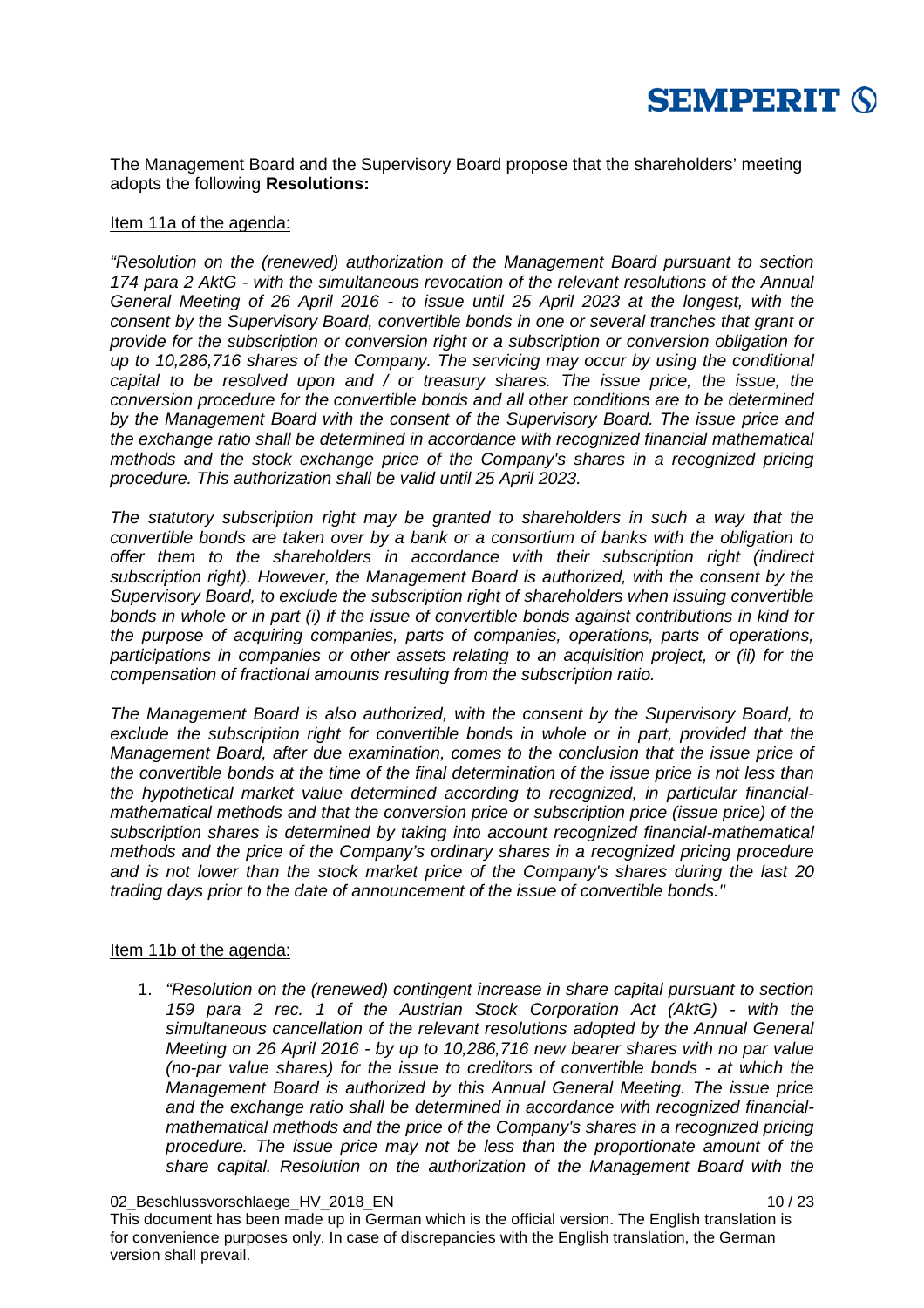

The Management Board and the Supervisory Board propose that the shareholders' meeting adopts the following **Resolutions:**

### Item 11a of the agenda:

*"Resolution on the (renewed) authorization of the Management Board pursuant to section 174 para 2 AktG - with the simultaneous revocation of the relevant resolutions of the Annual General Meeting of 26 April 2016 - to issue until 25 April 2023 at the longest, with the consent by the Supervisory Board, convertible bonds in one or several tranches that grant or provide for the subscription or conversion right or a subscription or conversion obligation for up to 10,286,716 shares of the Company. The servicing may occur by using the conditional capital to be resolved upon and / or treasury shares. The issue price, the issue, the conversion procedure for the convertible bonds and all other conditions are to be determined by the Management Board with the consent of the Supervisory Board. The issue price and the exchange ratio shall be determined in accordance with recognized financial mathematical methods and the stock exchange price of the Company's shares in a recognized pricing procedure. This authorization shall be valid until 25 April 2023.*

*The statutory subscription right may be granted to shareholders in such a way that the convertible bonds are taken over by a bank or a consortium of banks with the obligation to offer them to the shareholders in accordance with their subscription right (indirect subscription right). However, the Management Board is authorized, with the consent by the Supervisory Board, to exclude the subscription right of shareholders when issuing convertible bonds in whole or in part (i) if the issue of convertible bonds against contributions in kind for the purpose of acquiring companies, parts of companies, operations, parts of operations, participations in companies or other assets relating to an acquisition project, or (ii) for the compensation of fractional amounts resulting from the subscription ratio.*

*The Management Board is also authorized, with the consent by the Supervisory Board, to*  exclude the subscription right for convertible bonds in whole or in part, provided that the *Management Board, after due examination, comes to the conclusion that the issue price of the convertible bonds at the time of the final determination of the issue price is not less than the hypothetical market value determined according to recognized, in particular financialmathematical methods and that the conversion price or subscription price (issue price) of the subscription shares is determined by taking into account recognized financial-mathematical methods and the price of the Company's ordinary shares in a recognized pricing procedure and is not lower than the stock market price of the Company's shares during the last 20 trading days prior to the date of announcement of the issue of convertible bonds."*

### Item 11b of the agenda:

1. *"Resolution on the (renewed) contingent increase in share capital pursuant to section 159 para 2 rec. 1 of the Austrian Stock Corporation Act (AktG) - with the simultaneous cancellation of the relevant resolutions adopted by the Annual General Meeting on 26 April 2016 - by up to 10,286,716 new bearer shares with no par value (no-par value shares) for the issue to creditors of convertible bonds - at which the Management Board is authorized by this Annual General Meeting. The issue price and the exchange ratio shall be determined in accordance with recognized financialmathematical methods and the price of the Company's shares in a recognized pricing procedure. The issue price may not be less than the proportionate amount of the share capital. Resolution on the authorization of the Management Board with the* 

<sup>02</sup> Beschlussvorschlaege HV 2018 EN 10 / 23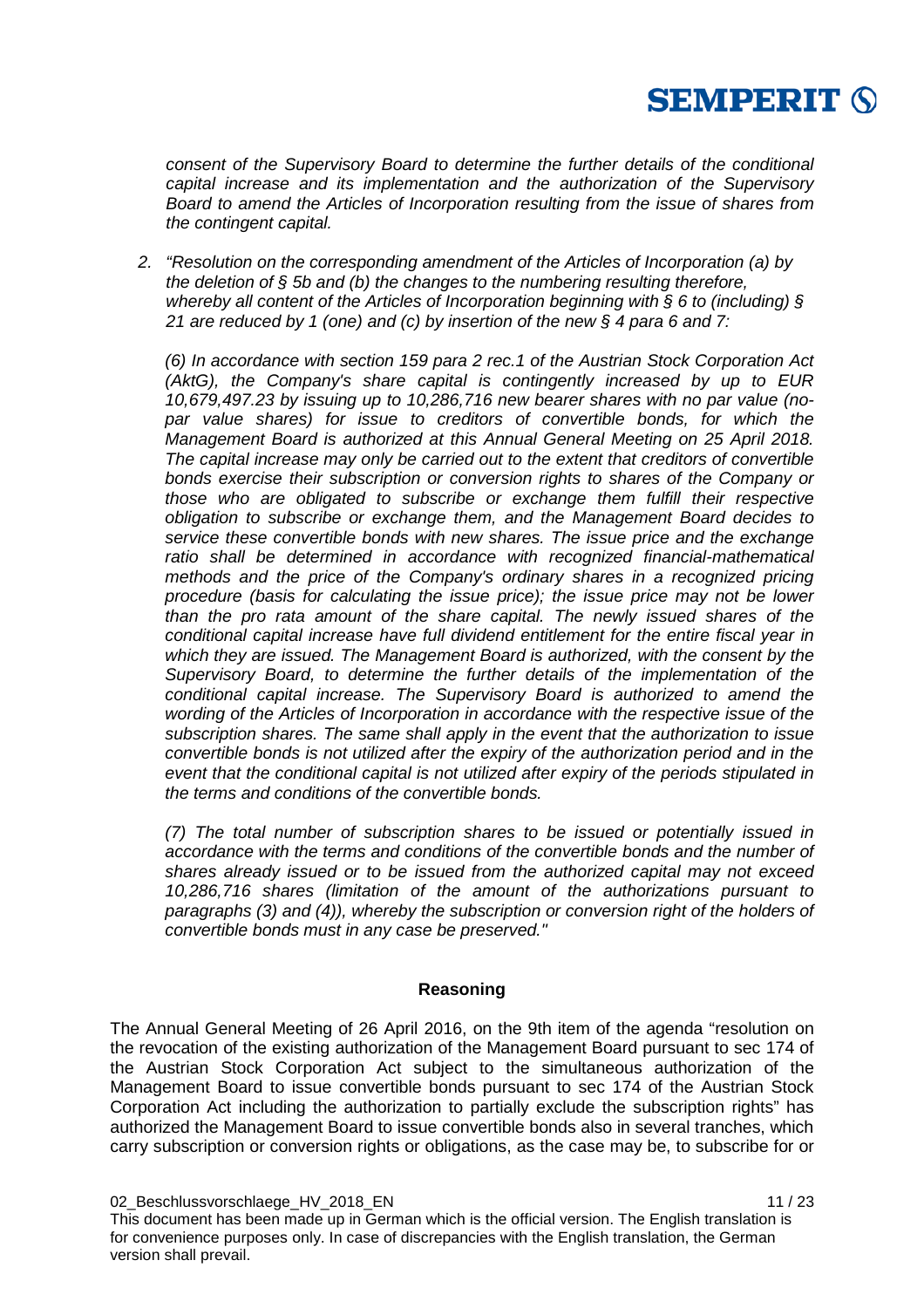

*consent of the Supervisory Board to determine the further details of the conditional capital increase and its implementation and the authorization of the Supervisory Board to amend the Articles of Incorporation resulting from the issue of shares from the contingent capital.*

*2. "Resolution on the corresponding amendment of the Articles of Incorporation (a) by the deletion of § 5b and (b) the changes to the numbering resulting therefore, whereby all content of the Articles of Incorporation beginning with § 6 to (including) § 21 are reduced by 1 (one) and (c) by insertion of the new § 4 para 6 and 7:* 

*(6) In accordance with section 159 para 2 rec.1 of the Austrian Stock Corporation Act (AktG), the Company's share capital is contingently increased by up to EUR 10,679,497.23 by issuing up to 10,286,716 new bearer shares with no par value (no*par value shares) for issue to creditors of convertible bonds, for which the *Management Board is authorized at this Annual General Meeting on 25 April 2018. The capital increase may only be carried out to the extent that creditors of convertible bonds exercise their subscription or conversion rights to shares of the Company or those who are obligated to subscribe or exchange them fulfill their respective obligation to subscribe or exchange them, and the Management Board decides to service these convertible bonds with new shares. The issue price and the exchange ratio shall be determined in accordance with recognized financial-mathematical methods and the price of the Company's ordinary shares in a recognized pricing procedure (basis for calculating the issue price); the issue price may not be lower than the pro rata amount of the share capital. The newly issued shares of the conditional capital increase have full dividend entitlement for the entire fiscal year in which they are issued. The Management Board is authorized, with the consent by the Supervisory Board, to determine the further details of the implementation of the conditional capital increase. The Supervisory Board is authorized to amend the wording of the Articles of Incorporation in accordance with the respective issue of the subscription shares. The same shall apply in the event that the authorization to issue convertible bonds is not utilized after the expiry of the authorization period and in the event that the conditional capital is not utilized after expiry of the periods stipulated in the terms and conditions of the convertible bonds.*

*(7) The total number of subscription shares to be issued or potentially issued in accordance with the terms and conditions of the convertible bonds and the number of shares already issued or to be issued from the authorized capital may not exceed 10,286,716 shares (limitation of the amount of the authorizations pursuant to paragraphs (3) and (4)), whereby the subscription or conversion right of the holders of convertible bonds must in any case be preserved."*

### **Reasoning**

The Annual General Meeting of 26 April 2016, on the 9th item of the agenda "resolution on the revocation of the existing authorization of the Management Board pursuant to sec 174 of the Austrian Stock Corporation Act subject to the simultaneous authorization of the Management Board to issue convertible bonds pursuant to sec 174 of the Austrian Stock Corporation Act including the authorization to partially exclude the subscription rights" has authorized the Management Board to issue convertible bonds also in several tranches, which carry subscription or conversion rights or obligations, as the case may be, to subscribe for or

02 Beschlussvorschlaege HV 2018 EN 11/23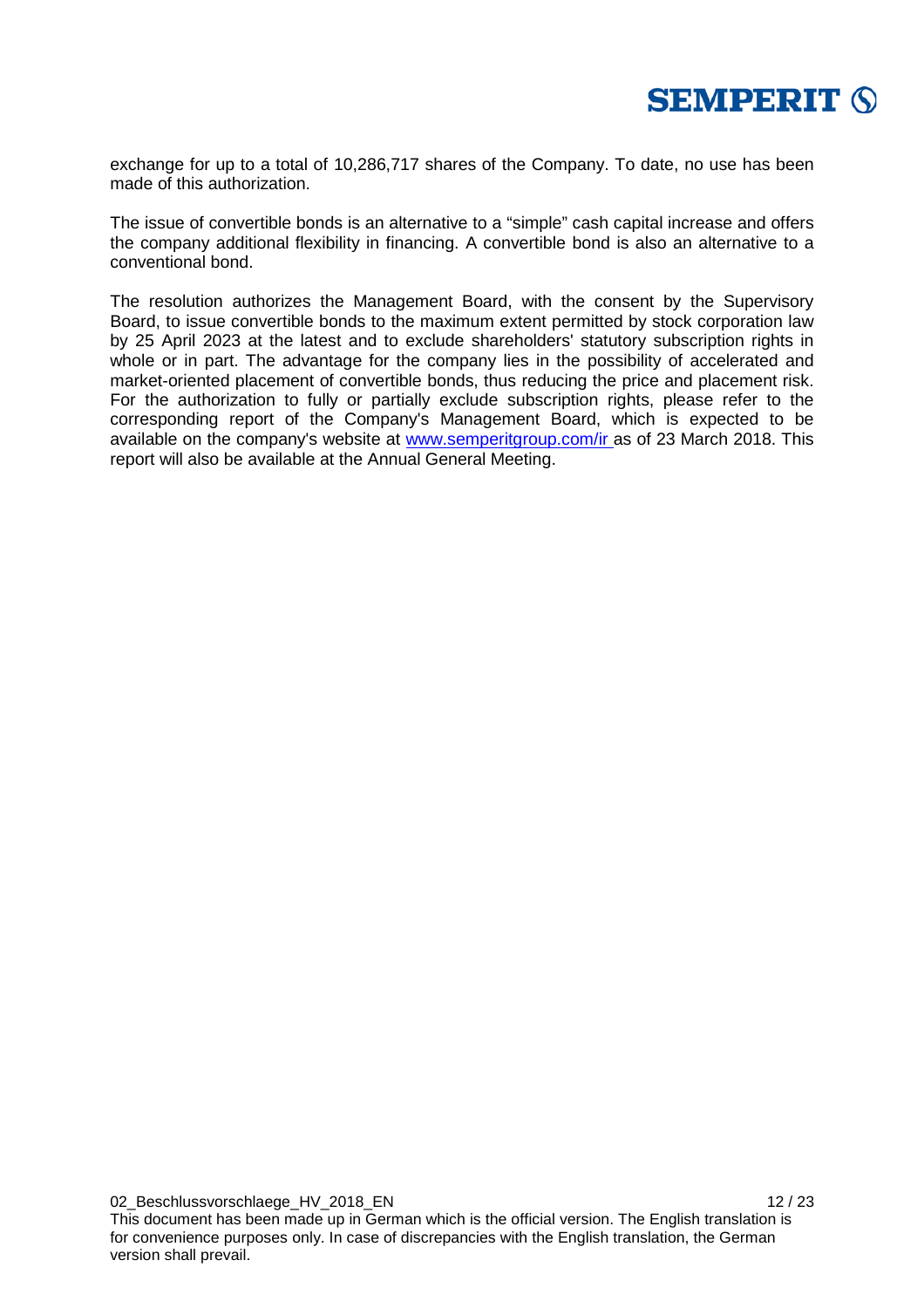

exchange for up to a total of 10,286,717 shares of the Company. To date, no use has been made of this authorization.

The issue of convertible bonds is an alternative to a "simple" cash capital increase and offers the company additional flexibility in financing. A convertible bond is also an alternative to a conventional bond.

The resolution authorizes the Management Board, with the consent by the Supervisory Board, to issue convertible bonds to the maximum extent permitted by stock corporation law by 25 April 2023 at the latest and to exclude shareholders' statutory subscription rights in whole or in part. The advantage for the company lies in the possibility of accelerated and market-oriented placement of convertible bonds, thus reducing the price and placement risk. For the authorization to fully or partially exclude subscription rights, please refer to the corresponding report of the Company's Management Board, which is expected to be available on the company's website at [www.semperitgroup.com/ir](http://www.semperitgroup.com/ir) as of 23 March 2018. This report will also be available at the Annual General Meeting.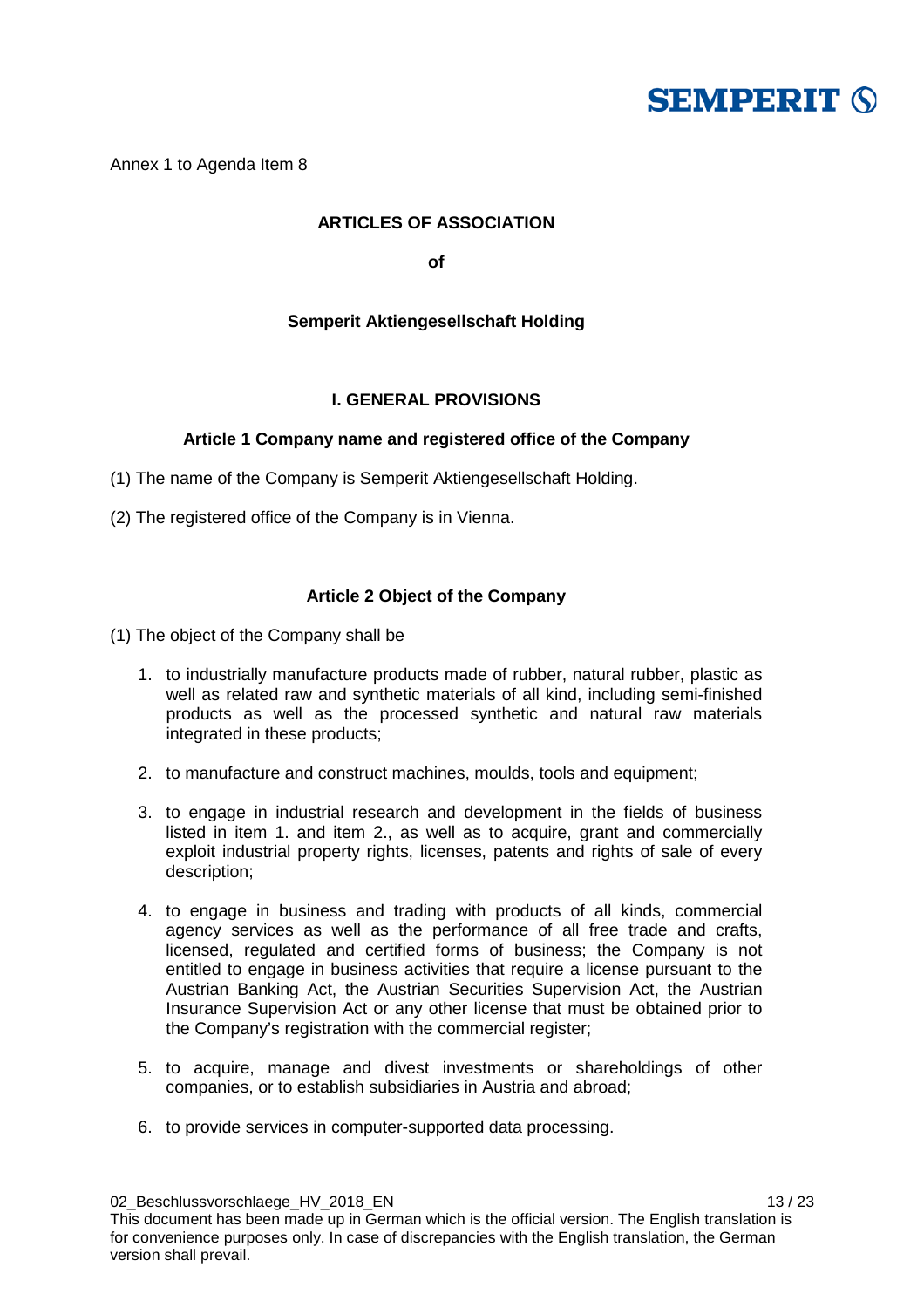

Annex 1 to Agenda Item 8

# **ARTICLES OF ASSOCIATION**

**of**

# **Semperit Aktiengesellschaft Holding**

# **I. GENERAL PROVISIONS**

# **Article 1 Company name and registered office of the Company**

- (1) The name of the Company is Semperit Aktiengesellschaft Holding.
- (2) The registered office of the Company is in Vienna.

# **Article 2 Object of the Company**

- (1) The object of the Company shall be
	- 1. to industrially manufacture products made of rubber, natural rubber, plastic as well as related raw and synthetic materials of all kind, including semi-finished products as well as the processed synthetic and natural raw materials integrated in these products;
	- 2. to manufacture and construct machines, moulds, tools and equipment;
	- 3. to engage in industrial research and development in the fields of business listed in item 1. and item 2., as well as to acquire, grant and commercially exploit industrial property rights, licenses, patents and rights of sale of every description;
	- 4. to engage in business and trading with products of all kinds, commercial agency services as well as the performance of all free trade and crafts, licensed, regulated and certified forms of business; the Company is not entitled to engage in business activities that require a license pursuant to the Austrian Banking Act, the Austrian Securities Supervision Act, the Austrian Insurance Supervision Act or any other license that must be obtained prior to the Company's registration with the commercial register;
	- 5. to acquire, manage and divest investments or shareholdings of other companies, or to establish subsidiaries in Austria and abroad;
	- 6. to provide services in computer-supported data processing.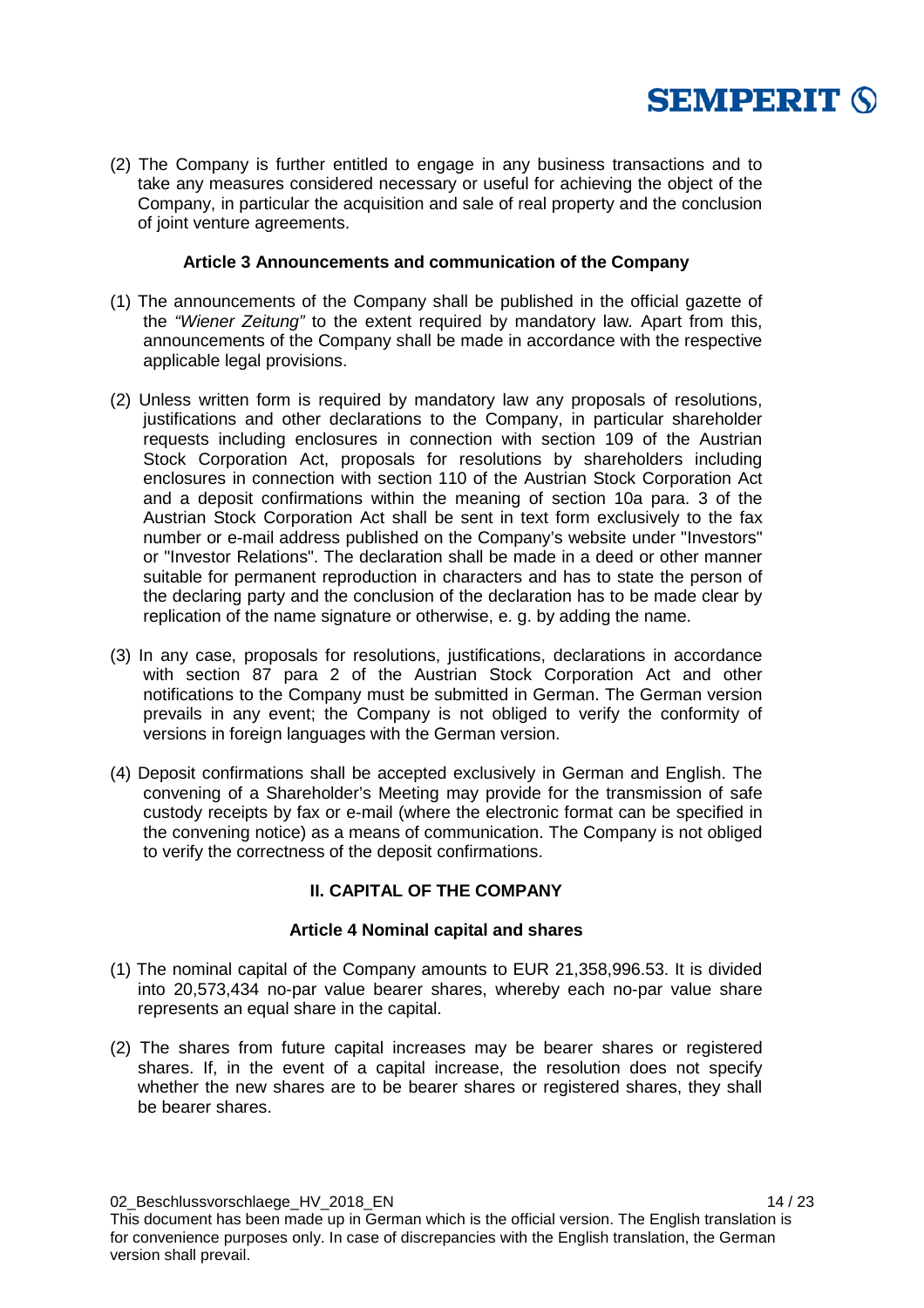

(2) The Company is further entitled to engage in any business transactions and to take any measures considered necessary or useful for achieving the object of the Company, in particular the acquisition and sale of real property and the conclusion of joint venture agreements.

### **Article 3 Announcements and communication of the Company**

- (1) The announcements of the Company shall be published in the official gazette of the *"Wiener Zeitung"* to the extent required by mandatory law*.* Apart from this, announcements of the Company shall be made in accordance with the respective applicable legal provisions.
- (2) Unless written form is required by mandatory law any proposals of resolutions, justifications and other declarations to the Company, in particular shareholder requests including enclosures in connection with section 109 of the Austrian Stock Corporation Act, proposals for resolutions by shareholders including enclosures in connection with section 110 of the Austrian Stock Corporation Act and a deposit confirmations within the meaning of section 10a para. 3 of the Austrian Stock Corporation Act shall be sent in text form exclusively to the fax number or e-mail address published on the Company's website under "Investors" or "Investor Relations". The declaration shall be made in a deed or other manner suitable for permanent reproduction in characters and has to state the person of the declaring party and the conclusion of the declaration has to be made clear by replication of the name signature or otherwise, e. g. by adding the name.
- (3) In any case, proposals for resolutions, justifications, declarations in accordance with section 87 para 2 of the Austrian Stock Corporation Act and other notifications to the Company must be submitted in German. The German version prevails in any event; the Company is not obliged to verify the conformity of versions in foreign languages with the German version.
- (4) Deposit confirmations shall be accepted exclusively in German and English. The convening of a Shareholder's Meeting may provide for the transmission of safe custody receipts by fax or e-mail (where the electronic format can be specified in the convening notice) as a means of communication. The Company is not obliged to verify the correctness of the deposit confirmations.

### **II. CAPITAL OF THE COMPANY**

### **Article 4 Nominal capital and shares**

- (1) The nominal capital of the Company amounts to EUR 21,358,996.53. It is divided into 20,573,434 no-par value bearer shares, whereby each no-par value share represents an equal share in the capital.
- (2) The shares from future capital increases may be bearer shares or registered shares. If, in the event of a capital increase, the resolution does not specify whether the new shares are to be bearer shares or registered shares, they shall be bearer shares.

02 Beschlussvorschlaege HV 2018 EN 14/23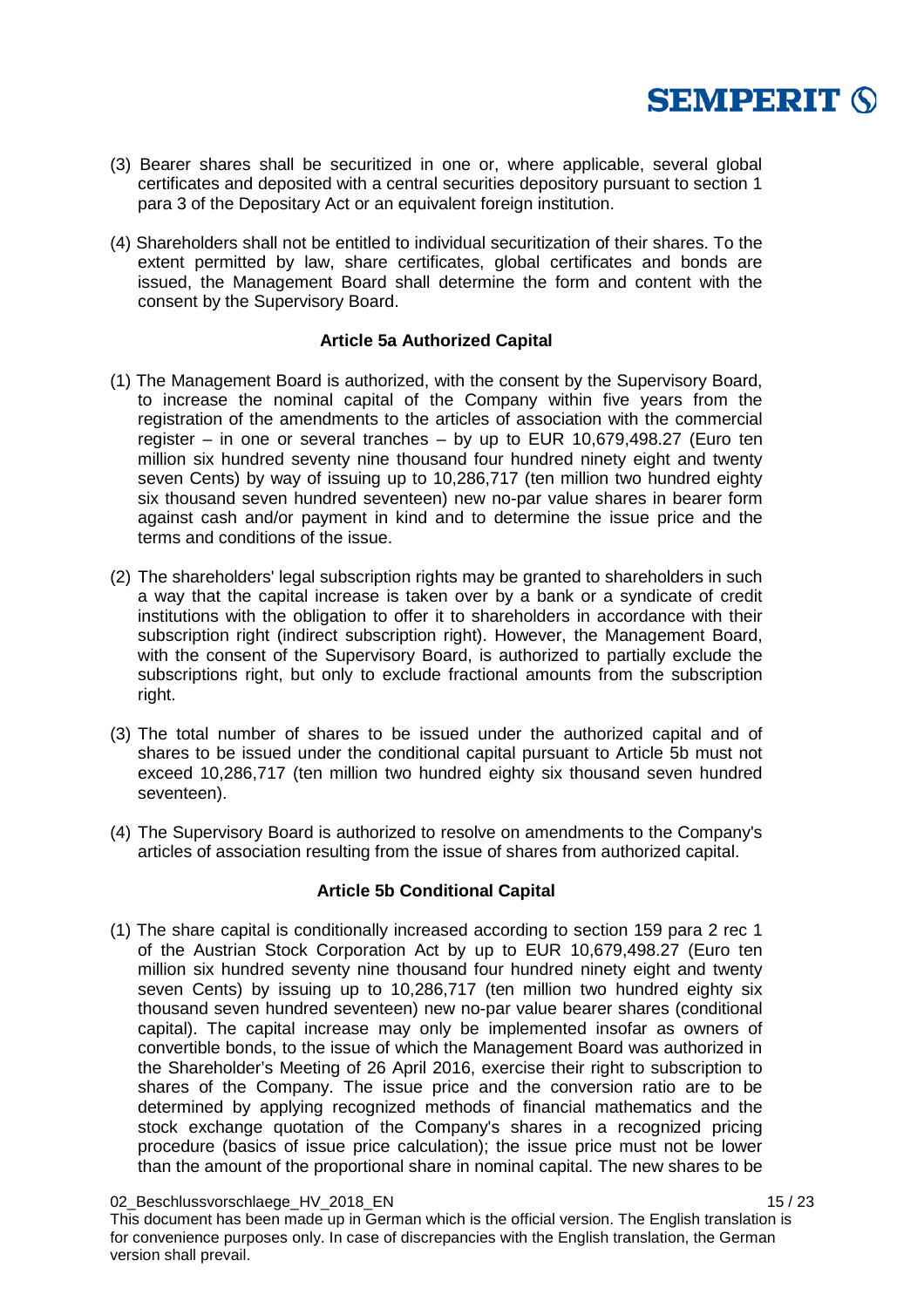

- (3) Bearer shares shall be securitized in one or, where applicable, several global certificates and deposited with a central securities depository pursuant to section 1 para 3 of the Depositary Act or an equivalent foreign institution.
- (4) Shareholders shall not be entitled to individual securitization of their shares. To the extent permitted by law, share certificates, global certificates and bonds are issued, the Management Board shall determine the form and content with the consent by the Supervisory Board.

## **Article 5a Authorized Capital**

- (1) The Management Board is authorized, with the consent by the Supervisory Board, to increase the nominal capital of the Company within five years from the registration of the amendments to the articles of association with the commercial register – in one or several tranches – by up to EUR 10,679,498.27 (Euro ten million six hundred seventy nine thousand four hundred ninety eight and twenty seven Cents) by way of issuing up to 10,286,717 (ten million two hundred eighty six thousand seven hundred seventeen) new no-par value shares in bearer form against cash and/or payment in kind and to determine the issue price and the terms and conditions of the issue.
- (2) The shareholders' legal subscription rights may be granted to shareholders in such a way that the capital increase is taken over by a bank or a syndicate of credit institutions with the obligation to offer it to shareholders in accordance with their subscription right (indirect subscription right). However, the Management Board, with the consent of the Supervisory Board, is authorized to partially exclude the subscriptions right, but only to exclude fractional amounts from the subscription right.
- (3) The total number of shares to be issued under the authorized capital and of shares to be issued under the conditional capital pursuant to Article 5b must not exceed 10,286,717 (ten million two hundred eighty six thousand seven hundred seventeen).
- (4) The Supervisory Board is authorized to resolve on amendments to the Company's articles of association resulting from the issue of shares from authorized capital.

# **Article 5b Conditional Capital**

(1) The share capital is conditionally increased according to section 159 para 2 rec 1 of the Austrian Stock Corporation Act by up to EUR 10,679,498.27 (Euro ten million six hundred seventy nine thousand four hundred ninety eight and twenty seven Cents) by issuing up to 10,286,717 (ten million two hundred eighty six thousand seven hundred seventeen) new no-par value bearer shares (conditional capital). The capital increase may only be implemented insofar as owners of convertible bonds, to the issue of which the Management Board was authorized in the Shareholder's Meeting of 26 April 2016, exercise their right to subscription to shares of the Company. The issue price and the conversion ratio are to be determined by applying recognized methods of financial mathematics and the stock exchange quotation of the Company's shares in a recognized pricing procedure (basics of issue price calculation); the issue price must not be lower than the amount of the proportional share in nominal capital. The new shares to be

<sup>02</sup> Beschlussvorschlaege HV 2018 EN 15 / 23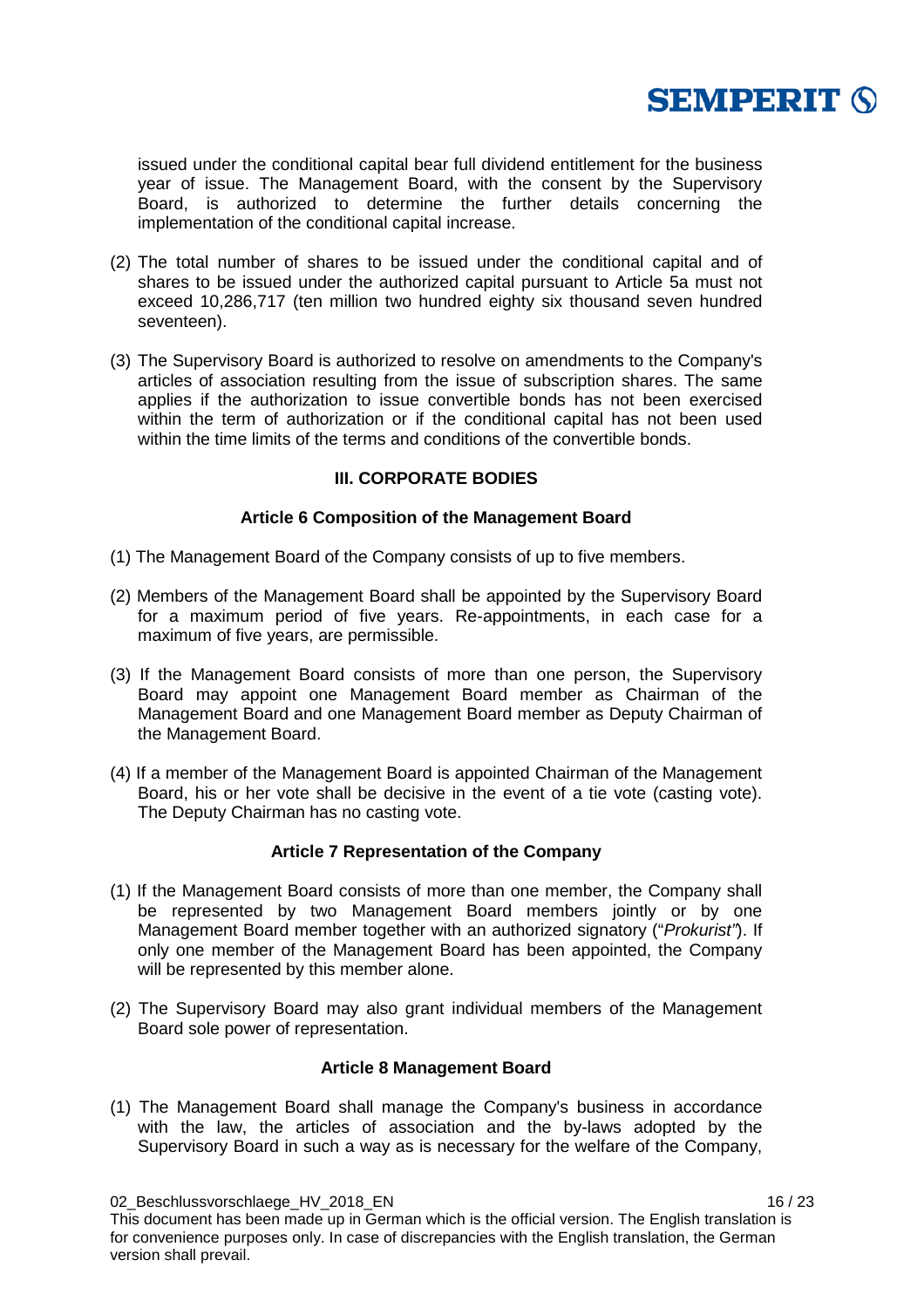

issued under the conditional capital bear full dividend entitlement for the business year of issue. The Management Board, with the consent by the Supervisory Board, is authorized to determine the further details concerning the implementation of the conditional capital increase.

- (2) The total number of shares to be issued under the conditional capital and of shares to be issued under the authorized capital pursuant to Article 5a must not exceed 10,286,717 (ten million two hundred eighty six thousand seven hundred seventeen).
- (3) The Supervisory Board is authorized to resolve on amendments to the Company's articles of association resulting from the issue of subscription shares. The same applies if the authorization to issue convertible bonds has not been exercised within the term of authorization or if the conditional capital has not been used within the time limits of the terms and conditions of the convertible bonds.

# **III. CORPORATE BODIES**

## **Article 6 Composition of the Management Board**

- (1) The Management Board of the Company consists of up to five members.
- (2) Members of the Management Board shall be appointed by the Supervisory Board for a maximum period of five years. Re-appointments, in each case for a maximum of five years, are permissible.
- (3) If the Management Board consists of more than one person, the Supervisory Board may appoint one Management Board member as Chairman of the Management Board and one Management Board member as Deputy Chairman of the Management Board.
- (4) If a member of the Management Board is appointed Chairman of the Management Board, his or her vote shall be decisive in the event of a tie vote (casting vote). The Deputy Chairman has no casting vote.

### **Article 7 Representation of the Company**

- (1) If the Management Board consists of more than one member, the Company shall be represented by two Management Board members jointly or by one Management Board member together with an authorized signatory ("*Prokurist"*). If only one member of the Management Board has been appointed, the Company will be represented by this member alone.
- (2) The Supervisory Board may also grant individual members of the Management Board sole power of representation.

### **Article 8 Management Board**

(1) The Management Board shall manage the Company's business in accordance with the law, the articles of association and the by-laws adopted by the Supervisory Board in such a way as is necessary for the welfare of the Company,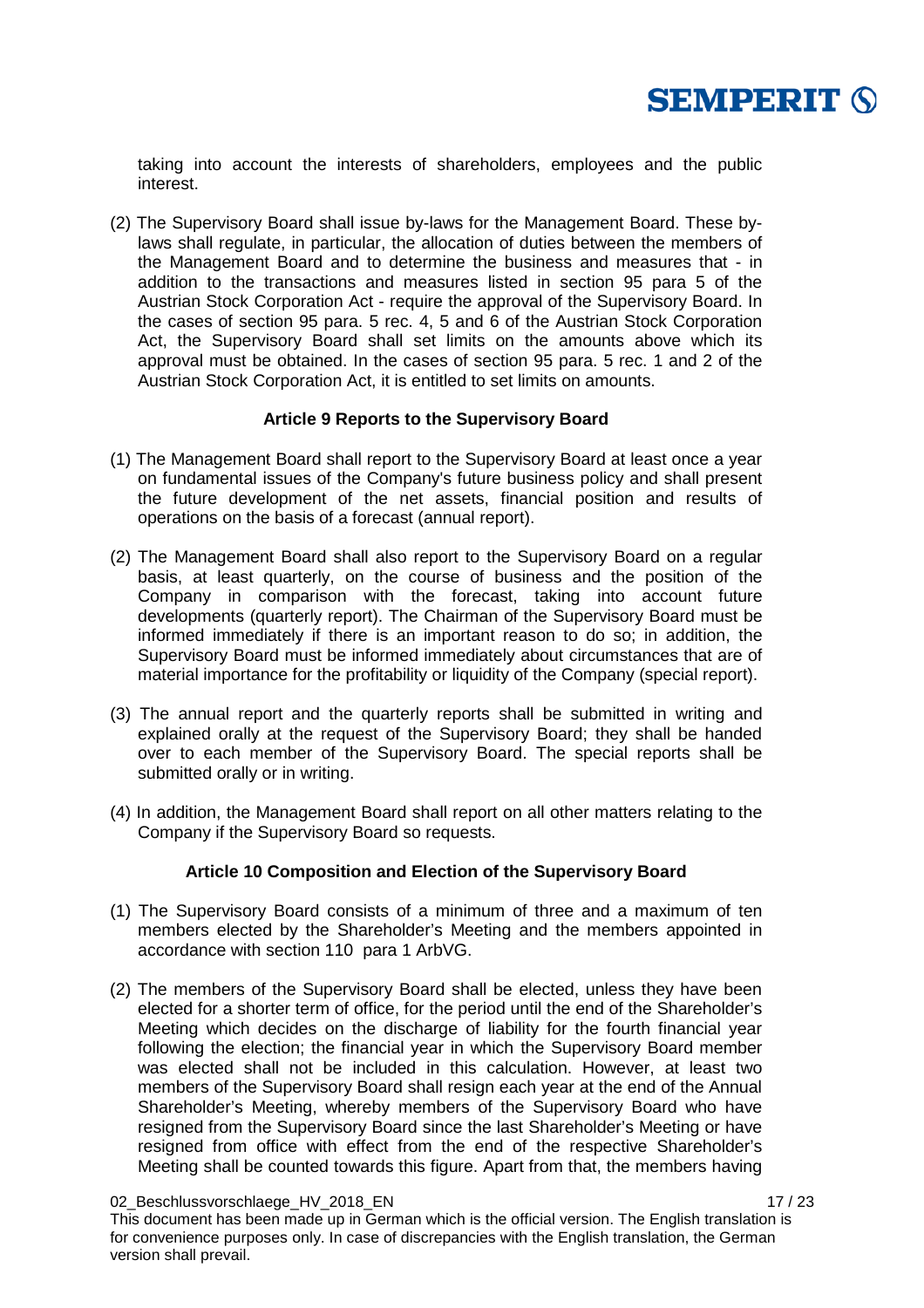

taking into account the interests of shareholders, employees and the public interest.

(2) The Supervisory Board shall issue by-laws for the Management Board. These bylaws shall regulate, in particular, the allocation of duties between the members of the Management Board and to determine the business and measures that - in addition to the transactions and measures listed in section 95 para 5 of the Austrian Stock Corporation Act - require the approval of the Supervisory Board. In the cases of section 95 para. 5 rec. 4, 5 and 6 of the Austrian Stock Corporation Act, the Supervisory Board shall set limits on the amounts above which its approval must be obtained. In the cases of section 95 para. 5 rec. 1 and 2 of the Austrian Stock Corporation Act, it is entitled to set limits on amounts.

## **Article 9 Reports to the Supervisory Board**

- (1) The Management Board shall report to the Supervisory Board at least once a year on fundamental issues of the Company's future business policy and shall present the future development of the net assets, financial position and results of operations on the basis of a forecast (annual report).
- (2) The Management Board shall also report to the Supervisory Board on a regular basis, at least quarterly, on the course of business and the position of the Company in comparison with the forecast, taking into account future developments (quarterly report). The Chairman of the Supervisory Board must be informed immediately if there is an important reason to do so; in addition, the Supervisory Board must be informed immediately about circumstances that are of material importance for the profitability or liquidity of the Company (special report).
- (3) The annual report and the quarterly reports shall be submitted in writing and explained orally at the request of the Supervisory Board; they shall be handed over to each member of the Supervisory Board. The special reports shall be submitted orally or in writing.
- (4) In addition, the Management Board shall report on all other matters relating to the Company if the Supervisory Board so requests.

### **Article 10 Composition and Election of the Supervisory Board**

- (1) The Supervisory Board consists of a minimum of three and a maximum of ten members elected by the Shareholder's Meeting and the members appointed in accordance with section 110 para 1 ArbVG.
- (2) The members of the Supervisory Board shall be elected, unless they have been elected for a shorter term of office, for the period until the end of the Shareholder's Meeting which decides on the discharge of liability for the fourth financial year following the election; the financial year in which the Supervisory Board member was elected shall not be included in this calculation. However, at least two members of the Supervisory Board shall resign each year at the end of the Annual Shareholder's Meeting, whereby members of the Supervisory Board who have resigned from the Supervisory Board since the last Shareholder's Meeting or have resigned from office with effect from the end of the respective Shareholder's Meeting shall be counted towards this figure. Apart from that, the members having

<sup>02</sup> Beschlussvorschlaege HV 2018 EN 17/23

This document has been made up in German which is the official version. The English translation is for convenience purposes only. In case of discrepancies with the English translation, the German version shall prevail.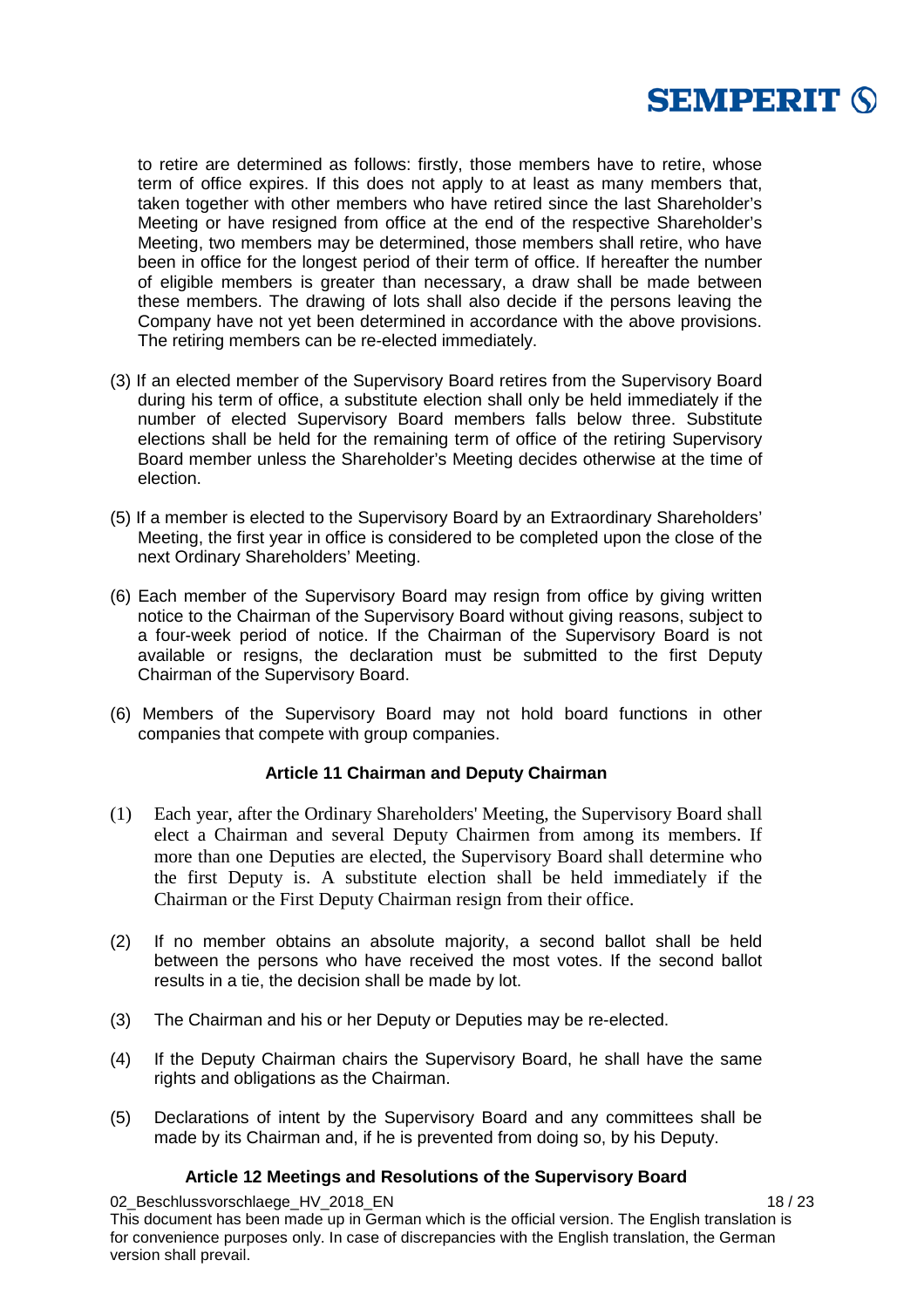

to retire are determined as follows: firstly, those members have to retire, whose term of office expires. If this does not apply to at least as many members that, taken together with other members who have retired since the last Shareholder's Meeting or have resigned from office at the end of the respective Shareholder's Meeting, two members may be determined, those members shall retire, who have been in office for the longest period of their term of office. If hereafter the number of eligible members is greater than necessary, a draw shall be made between these members. The drawing of lots shall also decide if the persons leaving the Company have not yet been determined in accordance with the above provisions. The retiring members can be re-elected immediately.

- (3) If an elected member of the Supervisory Board retires from the Supervisory Board during his term of office, a substitute election shall only be held immediately if the number of elected Supervisory Board members falls below three. Substitute elections shall be held for the remaining term of office of the retiring Supervisory Board member unless the Shareholder's Meeting decides otherwise at the time of election.
- (5) If a member is elected to the Supervisory Board by an Extraordinary Shareholders' Meeting, the first year in office is considered to be completed upon the close of the next Ordinary Shareholders' Meeting.
- (6) Each member of the Supervisory Board may resign from office by giving written notice to the Chairman of the Supervisory Board without giving reasons, subject to a four-week period of notice. If the Chairman of the Supervisory Board is not available or resigns, the declaration must be submitted to the first Deputy Chairman of the Supervisory Board.
- (6) Members of the Supervisory Board may not hold board functions in other companies that compete with group companies.

### **Article 11 Chairman and Deputy Chairman**

- (1) Each year, after the Ordinary Shareholders' Meeting, the Supervisory Board shall elect a Chairman and several Deputy Chairmen from among its members. If more than one Deputies are elected, the Supervisory Board shall determine who the first Deputy is. A substitute election shall be held immediately if the Chairman or the First Deputy Chairman resign from their office.
- (2) If no member obtains an absolute majority, a second ballot shall be held between the persons who have received the most votes. If the second ballot results in a tie, the decision shall be made by lot.
- (3) The Chairman and his or her Deputy or Deputies may be re-elected.
- (4) If the Deputy Chairman chairs the Supervisory Board, he shall have the same rights and obligations as the Chairman.
- (5) Declarations of intent by the Supervisory Board and any committees shall be made by its Chairman and, if he is prevented from doing so, by his Deputy.

# **Article 12 Meetings and Resolutions of the Supervisory Board**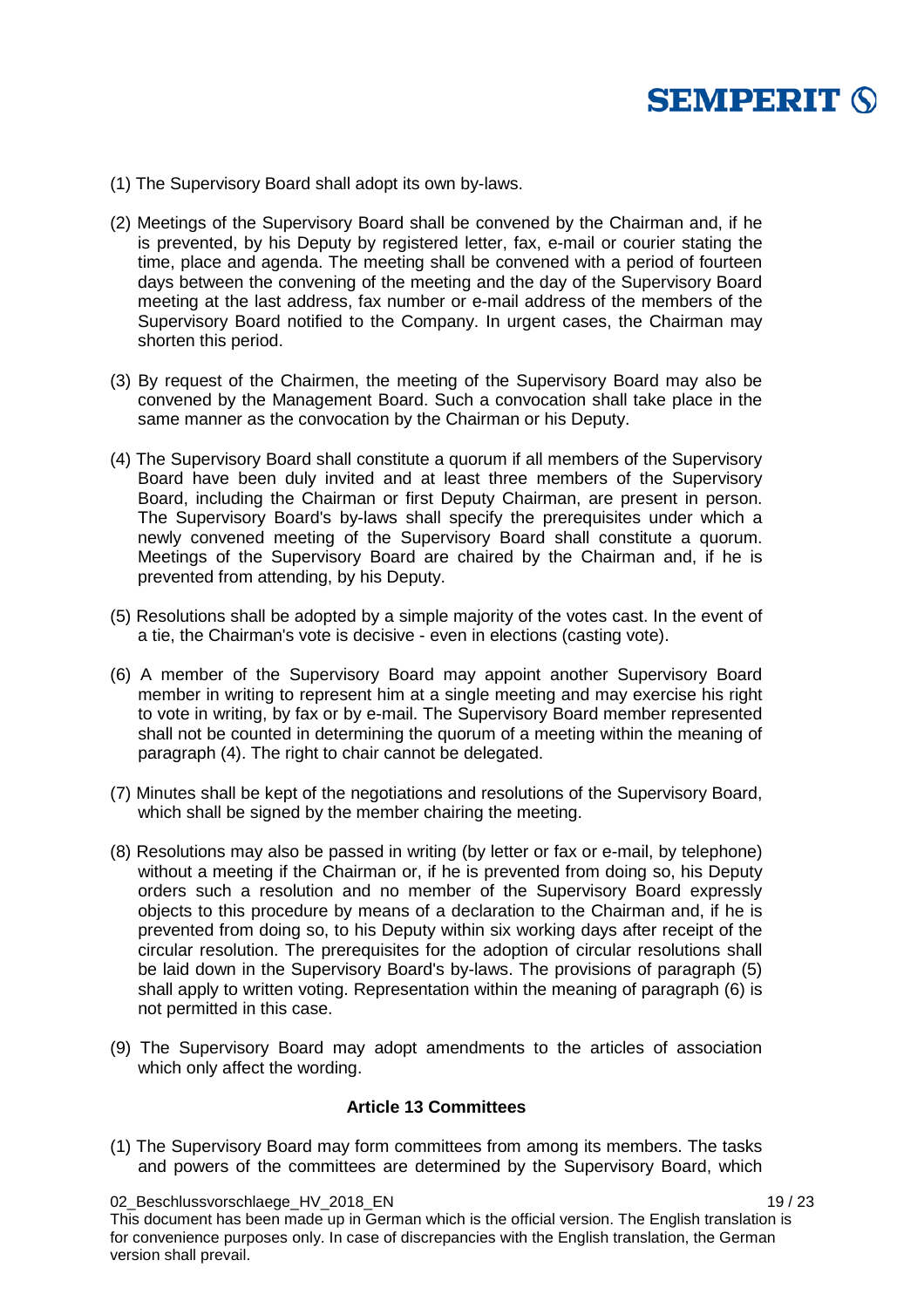

- (1) The Supervisory Board shall adopt its own by-laws.
- (2) Meetings of the Supervisory Board shall be convened by the Chairman and, if he is prevented, by his Deputy by registered letter, fax, e-mail or courier stating the time, place and agenda. The meeting shall be convened with a period of fourteen days between the convening of the meeting and the day of the Supervisory Board meeting at the last address, fax number or e-mail address of the members of the Supervisory Board notified to the Company. In urgent cases, the Chairman may shorten this period.
- (3) By request of the Chairmen, the meeting of the Supervisory Board may also be convened by the Management Board. Such a convocation shall take place in the same manner as the convocation by the Chairman or his Deputy.
- (4) The Supervisory Board shall constitute a quorum if all members of the Supervisory Board have been duly invited and at least three members of the Supervisory Board, including the Chairman or first Deputy Chairman, are present in person. The Supervisory Board's by-laws shall specify the prerequisites under which a newly convened meeting of the Supervisory Board shall constitute a quorum. Meetings of the Supervisory Board are chaired by the Chairman and, if he is prevented from attending, by his Deputy.
- (5) Resolutions shall be adopted by a simple majority of the votes cast. In the event of a tie, the Chairman's vote is decisive - even in elections (casting vote).
- (6) A member of the Supervisory Board may appoint another Supervisory Board member in writing to represent him at a single meeting and may exercise his right to vote in writing, by fax or by e-mail. The Supervisory Board member represented shall not be counted in determining the quorum of a meeting within the meaning of paragraph (4). The right to chair cannot be delegated.
- (7) Minutes shall be kept of the negotiations and resolutions of the Supervisory Board, which shall be signed by the member chairing the meeting.
- (8) Resolutions may also be passed in writing (by letter or fax or e-mail, by telephone) without a meeting if the Chairman or, if he is prevented from doing so, his Deputy orders such a resolution and no member of the Supervisory Board expressly objects to this procedure by means of a declaration to the Chairman and, if he is prevented from doing so, to his Deputy within six working days after receipt of the circular resolution. The prerequisites for the adoption of circular resolutions shall be laid down in the Supervisory Board's by-laws. The provisions of paragraph (5) shall apply to written voting. Representation within the meaning of paragraph (6) is not permitted in this case.
- (9) The Supervisory Board may adopt amendments to the articles of association which only affect the wording.

### **Article 13 Committees**

(1) The Supervisory Board may form committees from among its members. The tasks and powers of the committees are determined by the Supervisory Board, which

02 Beschlussvorschlaege HV 2018 EN 19 / 23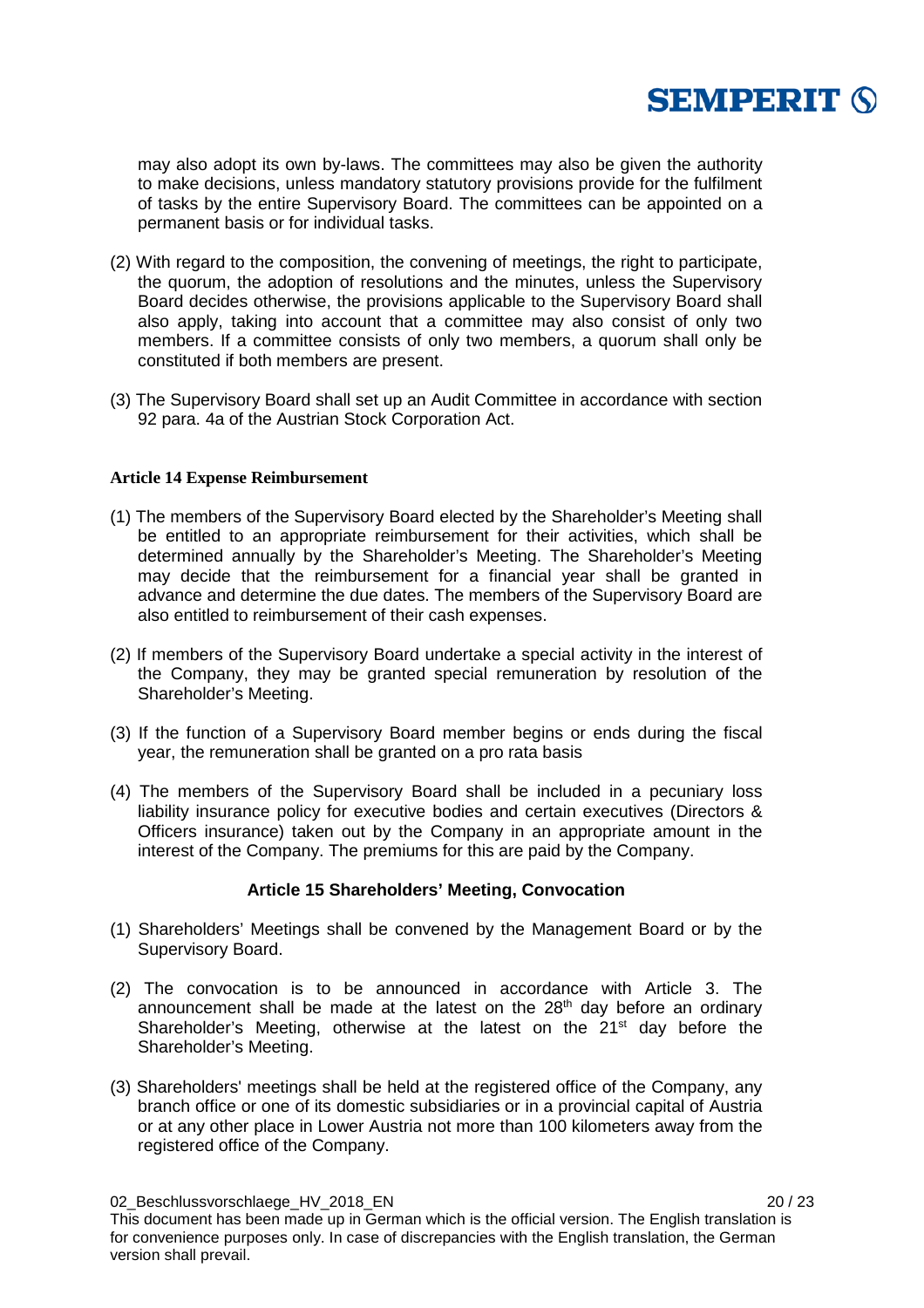

may also adopt its own by-laws. The committees may also be given the authority to make decisions, unless mandatory statutory provisions provide for the fulfilment of tasks by the entire Supervisory Board. The committees can be appointed on a permanent basis or for individual tasks.

- (2) With regard to the composition, the convening of meetings, the right to participate, the quorum, the adoption of resolutions and the minutes, unless the Supervisory Board decides otherwise, the provisions applicable to the Supervisory Board shall also apply, taking into account that a committee may also consist of only two members. If a committee consists of only two members, a quorum shall only be constituted if both members are present.
- (3) The Supervisory Board shall set up an Audit Committee in accordance with section 92 para. 4a of the Austrian Stock Corporation Act.

### **Article 14 Expense Reimbursement**

- (1) The members of the Supervisory Board elected by the Shareholder's Meeting shall be entitled to an appropriate reimbursement for their activities, which shall be determined annually by the Shareholder's Meeting. The Shareholder's Meeting may decide that the reimbursement for a financial year shall be granted in advance and determine the due dates. The members of the Supervisory Board are also entitled to reimbursement of their cash expenses.
- (2) If members of the Supervisory Board undertake a special activity in the interest of the Company, they may be granted special remuneration by resolution of the Shareholder's Meeting.
- (3) If the function of a Supervisory Board member begins or ends during the fiscal year, the remuneration shall be granted on a pro rata basis
- (4) The members of the Supervisory Board shall be included in a pecuniary loss liability insurance policy for executive bodies and certain executives (Directors & Officers insurance) taken out by the Company in an appropriate amount in the interest of the Company. The premiums for this are paid by the Company.

### **Article 15 Shareholders' Meeting, Convocation**

- (1) Shareholders' Meetings shall be convened by the Management Board or by the Supervisory Board.
- (2) The convocation is to be announced in accordance with Article 3. The announcement shall be made at the latest on the 28<sup>th</sup> day before an ordinary Shareholder's Meeting, otherwise at the latest on the  $21<sup>st</sup>$  day before the Shareholder's Meeting.
- (3) Shareholders' meetings shall be held at the registered office of the Company, any branch office or one of its domestic subsidiaries or in a provincial capital of Austria or at any other place in Lower Austria not more than 100 kilometers away from the registered office of the Company.

<sup>02</sup> Beschlussvorschlaege HV 2018 EN 2018 20 / 23 This document has been made up in German which is the official version. The English translation is for convenience purposes only. In case of discrepancies with the English translation, the German version shall prevail.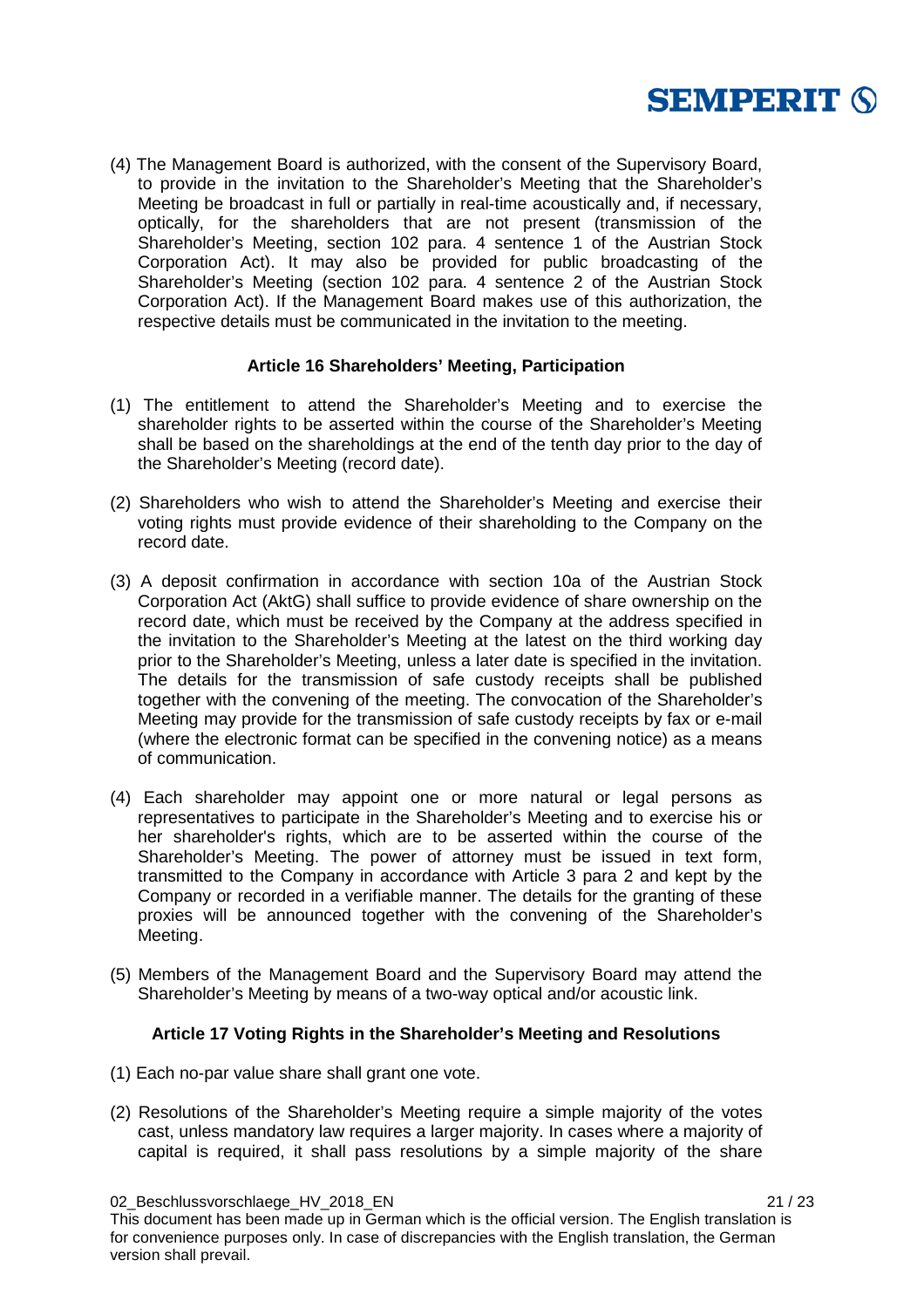

(4) The Management Board is authorized, with the consent of the Supervisory Board, to provide in the invitation to the Shareholder's Meeting that the Shareholder's Meeting be broadcast in full or partially in real-time acoustically and, if necessary, optically, for the shareholders that are not present (transmission of the Shareholder's Meeting, section 102 para. 4 sentence 1 of the Austrian Stock Corporation Act). It may also be provided for public broadcasting of the Shareholder's Meeting (section 102 para. 4 sentence 2 of the Austrian Stock Corporation Act). If the Management Board makes use of this authorization, the respective details must be communicated in the invitation to the meeting.

### **Article 16 Shareholders' Meeting, Participation**

- (1) The entitlement to attend the Shareholder's Meeting and to exercise the shareholder rights to be asserted within the course of the Shareholder's Meeting shall be based on the shareholdings at the end of the tenth day prior to the day of the Shareholder's Meeting (record date).
- (2) Shareholders who wish to attend the Shareholder's Meeting and exercise their voting rights must provide evidence of their shareholding to the Company on the record date.
- (3) A deposit confirmation in accordance with section 10a of the Austrian Stock Corporation Act (AktG) shall suffice to provide evidence of share ownership on the record date, which must be received by the Company at the address specified in the invitation to the Shareholder's Meeting at the latest on the third working day prior to the Shareholder's Meeting, unless a later date is specified in the invitation. The details for the transmission of safe custody receipts shall be published together with the convening of the meeting. The convocation of the Shareholder's Meeting may provide for the transmission of safe custody receipts by fax or e-mail (where the electronic format can be specified in the convening notice) as a means of communication.
- (4) Each shareholder may appoint one or more natural or legal persons as representatives to participate in the Shareholder's Meeting and to exercise his or her shareholder's rights, which are to be asserted within the course of the Shareholder's Meeting. The power of attorney must be issued in text form, transmitted to the Company in accordance with Article 3 para 2 and kept by the Company or recorded in a verifiable manner. The details for the granting of these proxies will be announced together with the convening of the Shareholder's Meeting.
- (5) Members of the Management Board and the Supervisory Board may attend the Shareholder's Meeting by means of a two-way optical and/or acoustic link.

### **Article 17 Voting Rights in the Shareholder's Meeting and Resolutions**

- (1) Each no-par value share shall grant one vote.
- (2) Resolutions of the Shareholder's Meeting require a simple majority of the votes cast, unless mandatory law requires a larger majority. In cases where a majority of capital is required, it shall pass resolutions by a simple majority of the share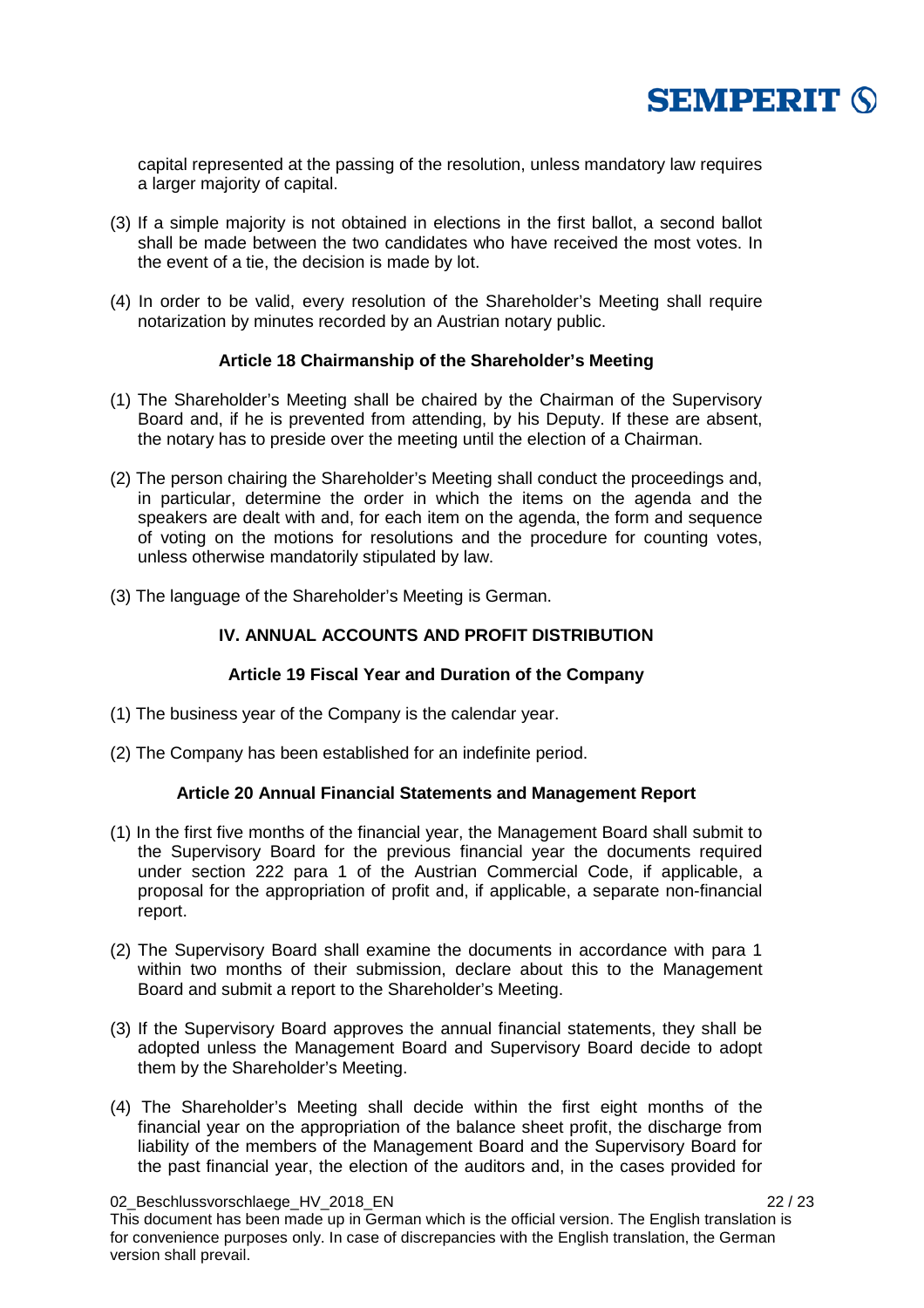

capital represented at the passing of the resolution, unless mandatory law requires a larger majority of capital.

- (3) If a simple majority is not obtained in elections in the first ballot, a second ballot shall be made between the two candidates who have received the most votes. In the event of a tie, the decision is made by lot.
- (4) In order to be valid, every resolution of the Shareholder's Meeting shall require notarization by minutes recorded by an Austrian notary public.

### **Article 18 Chairmanship of the Shareholder's Meeting**

- (1) The Shareholder's Meeting shall be chaired by the Chairman of the Supervisory Board and, if he is prevented from attending, by his Deputy. If these are absent, the notary has to preside over the meeting until the election of a Chairman.
- (2) The person chairing the Shareholder's Meeting shall conduct the proceedings and, in particular, determine the order in which the items on the agenda and the speakers are dealt with and, for each item on the agenda, the form and sequence of voting on the motions for resolutions and the procedure for counting votes, unless otherwise mandatorily stipulated by law.
- (3) The language of the Shareholder's Meeting is German.

### **IV. ANNUAL ACCOUNTS AND PROFIT DISTRIBUTION**

### **Article 19 Fiscal Year and Duration of the Company**

- (1) The business year of the Company is the calendar year.
- (2) The Company has been established for an indefinite period.

#### **Article 20 Annual Financial Statements and Management Report**

- (1) In the first five months of the financial year, the Management Board shall submit to the Supervisory Board for the previous financial year the documents required under section 222 para 1 of the Austrian Commercial Code, if applicable, a proposal for the appropriation of profit and, if applicable, a separate non-financial report.
- (2) The Supervisory Board shall examine the documents in accordance with para 1 within two months of their submission, declare about this to the Management Board and submit a report to the Shareholder's Meeting.
- (3) If the Supervisory Board approves the annual financial statements, they shall be adopted unless the Management Board and Supervisory Board decide to adopt them by the Shareholder's Meeting.
- (4) The Shareholder's Meeting shall decide within the first eight months of the financial year on the appropriation of the balance sheet profit, the discharge from liability of the members of the Management Board and the Supervisory Board for the past financial year, the election of the auditors and, in the cases provided for